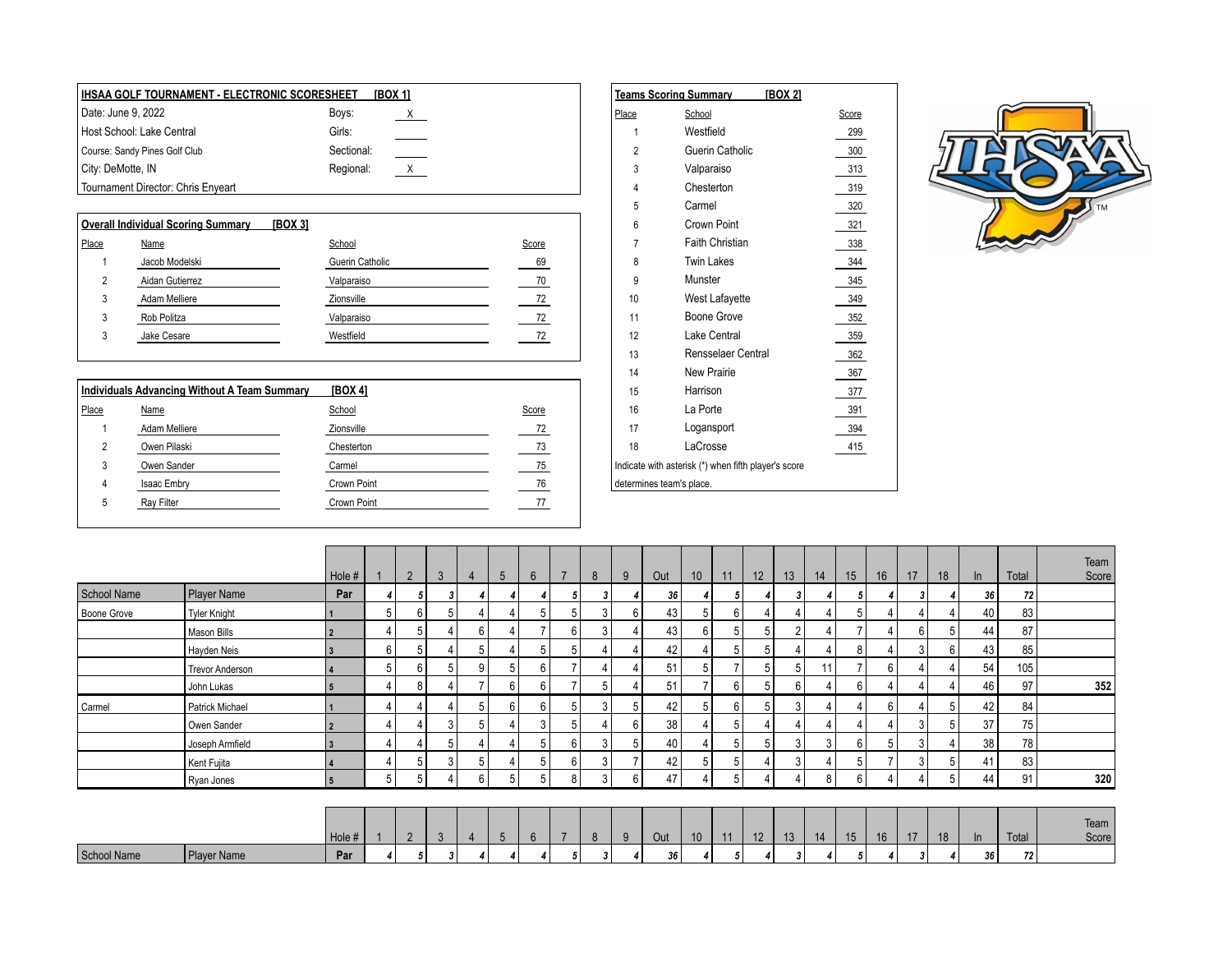| IHSAA GOLF TOURNAMENT - ELECTRONIC SCORESHEET |            | [BOX 1]                  |  |       | [BOX 2]<br><b>Teams Scoring Summary</b> |       |
|-----------------------------------------------|------------|--------------------------|--|-------|-----------------------------------------|-------|
| Date: June 9, 2022                            | Boys:      | $\overline{\phantom{a}}$ |  | Place | School                                  | Score |
| Host School: Lake Central                     | Girls:     |                          |  |       | Westfield                               | 299   |
| Course: Sandy Pines Golf Club                 | Sectional: |                          |  |       | Guerin Catholic                         | 300   |
| City: DeMotte, IN                             | Regional:  | X                        |  |       | Valparaiso                              | 313   |
| Tournament Director: Chris Enyeart            |            |                          |  |       | Chesterton                              | 319   |

## **Overall Individual Scoring Summary [BOX 3]** Place Name School Score 7 Faith Christian 338 1 Jacob Modelski Guerin Catholic 69 8 Twin Lakes 344 2 Aidan Gutierrez Valparaiso 70 9 Munster 345 3 Adam Melliere Zionsville 72 10 West Lafayette 349 3 Rob Politza Valparaiso 72 11 Boone Grove 352

|       |                                              |             |       | . . |                                                      | יטט |
|-------|----------------------------------------------|-------------|-------|-----|------------------------------------------------------|-----|
|       | Individuals Advancing Without A Team Summary | [BOX 4]     |       | 15  | Harrison                                             | 377 |
| Place | Name                                         | School      | Score | 16  | La Porte                                             | 391 |
|       | Adam Melliere                                | Zionsville  | 72    |     | Logansport                                           | 394 |
|       | Owen Pilaski                                 | Chesterton  | 73    | 18  | LaCrosse                                             | 415 |
| 3     | Owen Sander                                  | Carmel      | 75    |     | Indicate with asterisk (*) when fifth player's score |     |
| 4     | Isaac Embry                                  | Crown Point | 76    |     | determines team's place.                             |     |
| 5     | Ray Filter                                   | Crown Point |       |     |                                                      |     |
|       |                                              |             |       |     |                                                      |     |

|   | \A GULF TUURNAMENT - ELECTRUNIC SCURESHEET | <b>IBOY 11</b>            |       | Teams Scoring Summary    | IBUA ZI                                              |       |
|---|--------------------------------------------|---------------------------|-------|--------------------------|------------------------------------------------------|-------|
|   | : June 9, 2022                             | Boys:<br>$\mathsf{X}$     |       | Place                    | School                                               | Score |
|   | School: Lake Central                       | Girls:                    |       |                          | Westfield                                            | 299   |
|   | se: Sandy Pines Golf Club                  | Sectional:                |       | 2                        | Guerin Catholic                                      | 300   |
|   | DeMotte, IN                                | $\mathsf{X}$<br>Regional: |       | 3                        | Valparaiso                                           | 313   |
|   | nament Director: Chris Enyeart             |                           |       |                          | Chesterton                                           | 319   |
|   |                                            |                           |       | 5                        | Carmel                                               | 320   |
|   | all Individual Scoring Summary<br>[BOX 3]  |                           |       | 6                        | Crown Point                                          | 321   |
|   | Name                                       | School                    | Score |                          | <b>Faith Christian</b>                               | 338   |
|   | Jacob Modelski                             | Guerin Catholic           | 69    | 8                        | <b>Twin Lakes</b>                                    | 344   |
| 2 | Aidan Gutierrez                            | Valparaiso                | 70    | 9                        | Munster                                              | 345   |
| 3 | Adam Melliere                              | Zionsville                | 72    | 10                       | West Lafayette                                       | 349   |
| 3 | Rob Politza                                | Valparaiso                | 72    | 11                       | Boone Grove                                          | 352   |
| 3 | Jake Cesare                                | Westfield                 | 72    | 12                       | Lake Central                                         | 359   |
|   |                                            |                           |       | 13                       | Rensselaer Central                                   | 362   |
|   |                                            |                           |       | 14                       | New Prairie                                          | 367   |
|   | viduals Advancing Without A Team Summary   | [BOX 4]                   |       | 15                       | Harrison                                             | 377   |
|   | Name                                       | School                    | Score | 16                       | La Porte                                             | 391   |
|   | Adam Melliere                              | Zionsville                | 72    | 17                       | Logansport                                           | 394   |
| 2 | Owen Pilaski                               | Chesterton                | 73    | 18                       | LaCrosse                                             | 415   |
| 3 | Owen Sander                                | Carmel                    | 75    |                          | Indicate with asterisk (*) when fifth player's score |       |
|   | <b>Isaac Embry</b>                         | Crown Point               | 76    | determines team's place. |                                                      |       |



|             |                        | Hole # |   | 2              | 3 | $\overline{4}$ | $5\overline{)}$ | 6              | $\overline{7}$ | 8 | 9  | Out | 10 | 11 | 12 | 13     | 14 | 15 | 16             | 17 | 18 | $\ln$ | Total | Team<br>Score |
|-------------|------------------------|--------|---|----------------|---|----------------|-----------------|----------------|----------------|---|----|-----|----|----|----|--------|----|----|----------------|----|----|-------|-------|---------------|
| School Name | Player Name            | Par    |   |                |   |                |                 |                |                | 3 |    | 36  |    |    |    |        |    |    |                |    |    | 36    | 72    |               |
| Boone Grove | Tyler Knight           |        |   | ĥ              |   |                |                 | 5              | ÷              | 3 | 6  | 43  | 5  | 6  |    |        |    | 5  |                |    |    | 40    | 83    |               |
|             | Mason Bills            |        |   | 5              |   | 6              |                 | $\overline{7}$ | 6              | 3 |    | 43  | 6  | 5  | 5  | $\sim$ | 4  | э, |                | 6  | 5  | 44    | 87    |               |
|             | Hayden Neis            |        | 6 | 5              |   | 5              |                 | 5              | -5             |   |    | 42  |    | 5  | 5  |        |    | 8  |                | 3  | 6  | 43    | 85    |               |
|             | <b>Trevor Anderson</b> |        |   | ĥ              |   | 9              | 5               | 6              |                |   |    | 51  | 5  |    | Б. |        | 11 |    | 6              |    |    | 54    | 105   |               |
|             | John Lukas             |        |   | 8              |   | $\overline{ }$ | 6               | 6              |                | 5 |    | 51  |    | 6  | 5  |        |    | 6  |                |    |    | 46    | 97    | 352           |
| Carmel      | Patrick Michael        |        |   |                |   | 5              | 6               | 6              | $\mathbf{b}$   | 3 | -5 | 42  | 5  | հ  | 5  |        |    |    | 6              |    | 5  | 42    | 84    |               |
|             | Owen Sander            |        |   |                |   | 5              |                 | 3              | . 5            |   | 6  | 38  |    | 5  |    |        | 4  |    | Δ              | 3  | 5  | 37    | 75    |               |
|             | Joseph Armfield        |        |   |                |   | 4              |                 | 5              | 6              | 3 | 5  | 40  |    | 5  | 5  | $\sim$ | 3  | 6  | 5              | 3  |    | 38    | 78    |               |
|             | Kent Fujita            |        |   | 片              |   | 5              |                 | 5              | 6              | 3 |    | 42  | 5  |    |    | ົ      |    | 5  | $\overline{ }$ | 3  | 5  | 41    | 83    |               |
|             | Ryan Jones             | -5     | 5 | 5              |   | 6              | 5               | 5 <sup>1</sup> | 8              | 3 | 6  | 47  |    | 5  |    |        | 8  | 6  |                |    | 5  | 44    | 91    | 320           |
|             |                        |        |   |                |   |                |                 |                |                |   |    |     |    |    |    |        |    |    |                |    |    |       |       |               |
|             |                        | Hole # |   | $\overline{2}$ | 3 | $\overline{4}$ | $5\overline{)}$ | $6^{\circ}$    | $\overline{7}$ | 8 | 9  | Out | 10 | 11 | 12 | 13     | 14 | 15 | 16             | 17 | 18 | ln    | Total | Team<br>Score |
| School Name | Player Name            | Par    |   |                | 3 |                |                 |                |                | 3 |    | 36  |    | 5  |    |        |    |    |                |    |    | 36    | 72    |               |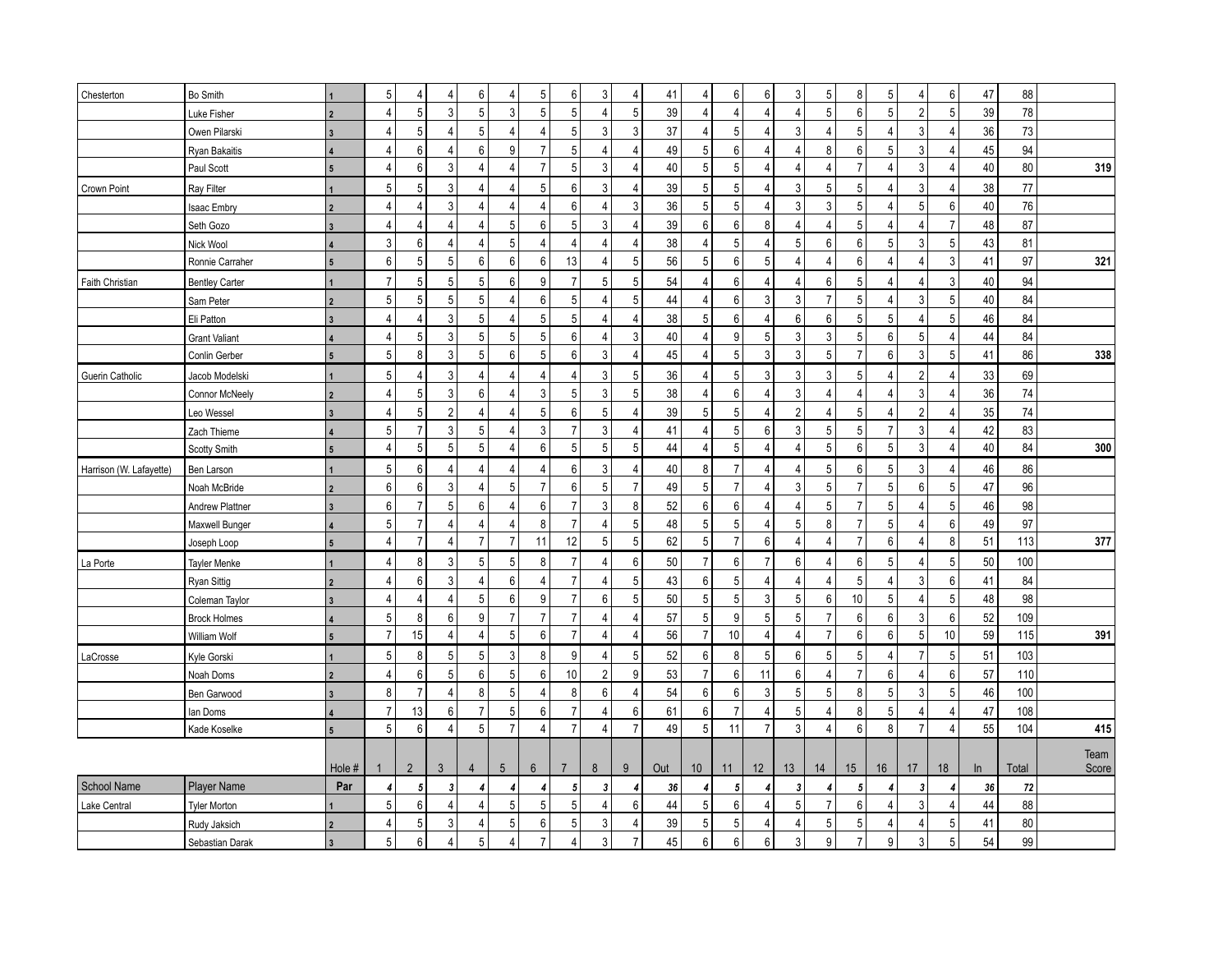| 5<br>5<br>3<br>6<br>6<br>3<br>5<br>$\sqrt{6}$<br>47<br>$\overline{4}$<br>6<br>6<br>4<br>41<br>$\overline{4}$<br>5<br>8<br>Chesterton<br>Bo Smith<br>$\Delta$<br>$\overline{4}$<br>4<br>$\overline{5}$<br>$5\phantom{.0}$<br>$\mathbf{3}$<br>$5\,$<br>5 <sup>1</sup><br>78<br>5<br>3<br>5<br>$5\phantom{.0}$<br>39<br>$\overline{4}$<br>$\boldsymbol{6}$<br>5<br>$\overline{2}$<br>39<br>$\Delta$<br>$\overline{4}$<br>4<br>$\overline{4}$<br>$\Delta$<br>Luke Fisher<br>$\overline{2}$<br>5<br>$\overline{3}$<br>5<br>5<br>37<br>$\overline{4}$<br>$\sqrt{5}$<br>5<br>3<br>$36\,$<br>73<br>$\overline{A}$<br>3<br>3<br>$\overline{4}$<br>$\Delta$<br>4<br>$\overline{4}$<br>$\overline{4}$<br>$\Delta$<br>$\Delta$<br>Owen Pilarski<br>$\overline{5}$<br>6<br>6<br>$\overline{7}$<br>5<br>6<br>5<br>3<br>45<br>94<br>9<br>$\overline{4}$<br>49<br>8<br>6<br>$\overline{4}$<br>$\overline{4}$<br>4<br>$\overline{4}$<br>$\Delta$<br>4<br>Ryan Bakaitis<br>$\sqrt{5}$<br>$\overline{7}$<br>5<br>$\mathbf 5$<br>3<br>40<br>80<br>319<br>6<br>3<br>3<br>40<br>$\overline{7}$<br>$\Delta$<br>4<br>Paul Scott<br>$\overline{4}$<br>4<br>4<br>4<br>4<br>4<br>4<br>5<br>$\sqrt{5}$<br>5<br>5<br>3<br>5<br>$6\phantom{1}$<br>3<br>39<br>$5\phantom{.0}$<br>3<br>5<br>5<br>3<br>$38\,$<br>77<br>$\overline{4}$<br>$\overline{4}$<br>Ray Filter<br>$\overline{4}$<br>$\overline{4}$<br>$\overline{4}$<br>4<br>Crown Point<br>$\overline{5}$<br>76<br>$\sqrt{3}$<br>$\sqrt{3}$<br>3<br>$6\phantom{1}6$<br>36<br>5<br>3<br>$5\phantom{.0}$<br>5<br>40<br>$\overline{4}$<br>$\overline{4}$<br>$\overline{4}$<br>$6 \overline{6}$<br>$\overline{4}$<br>4<br>$\overline{4}$<br>4<br>4<br>Isaac Embry<br>$\,6$<br>87<br>6<br>39<br>6<br>8<br>48<br>5<br>3<br>5<br>$\overline{7}$<br>$\overline{4}$<br>5<br>$\overline{4}$<br>$\overline{4}$<br>Seth Gozo<br>4<br>4<br>4<br>4<br>4<br>4<br>3<br>5<br>5 <sup>1</sup><br>$\mathbf{3}$<br>6<br>5<br>38<br>5<br>5<br>6<br>3<br>$\overline{4}$<br>$\overline{4}$<br>$\overline{4}$<br>$\overline{4}$<br>$\overline{4}$<br>6<br>43<br>81<br>$\overline{4}$<br>$\overline{4}$<br>$\overline{4}$<br>Nick Wool<br>$\,6\,$<br>$\mathbf 5$<br>$\,6\,$<br>$5\,$<br>$\overline{5}$<br>$\,6\,$<br>$\overline{3}$<br>$5\phantom{.0}$<br>6<br>6<br>13<br>56<br>$5\phantom{.0}$<br>41<br>97<br>321<br>6<br>$\overline{4}$<br>$\overline{4}$<br>$\overline{4}$<br>4<br>Ronnie Carraher<br>4<br>5<br>5<br>5<br>3<br>$\overline{7}$<br>$5\phantom{.0}$<br>9<br>$\overline{7}$<br>6<br>6<br>40<br>94<br>5<br>6<br>5<br>54<br>$\overline{4}$<br>$\overline{4}$<br>5<br>$\overline{4}$<br>$\overline{4}$<br><b>Faith Christian</b><br><b>Bentley Carter</b><br>4<br>5<br>5<br>5<br>5<br>$5\phantom{.0}$<br>3<br>5 <sup>1</sup><br>84<br>6<br>5<br>44<br>$\overline{4}$<br>6<br>3<br>$\overline{7}$<br>5<br>4<br>3<br>40<br>4<br>Sam Peter<br>4<br>$\overline{2}$<br>5<br>$5\,$<br>5 <sup>1</sup><br>3<br>5<br>$6\phantom{1}$<br>5<br>84<br>5<br>38<br>$\overline{4}$<br>6<br>6<br>5<br>46<br>$\overline{4}$<br>$\overline{4}$<br>$\overline{4}$<br>4<br>4<br>Eli Patton<br>$\overline{\mathbf{3}}$<br>$\overline{5}$<br>$\overline{3}$<br>$\overline{4}$<br>5<br>5<br>$\boldsymbol{9}$<br>$\overline{5}$<br>$\mathbf{3}$<br>$\mathfrak{Z}$<br>5<br>3<br>5<br>6<br>6<br>$\overline{5}$<br>$\overline{4}$<br>44<br>40<br>84<br>$\overline{4}$<br>4<br><b>Grant Valiant</b><br>$\sqrt{5}$<br>$5\,$<br>3<br>5<br>$\mathfrak{Z}$<br>$\sqrt{5}$<br>$\mathbf{3}$<br>3<br>$\mathbf 5$<br>$\overline{7}$<br>$\mathbf{3}$<br>5 <sup>1</sup><br>8<br>6<br>$6\phantom{1}6$<br>$\overline{4}$<br>45<br>$\overline{4}$<br>6<br>338<br>41<br>86<br>Conlin Gerber<br>$5\phantom{.0}$<br>5<br>3<br>3<br>5<br>36<br>5<br>3<br>3<br>3<br>5<br>$\overline{2}$<br>33<br>69<br>$\overline{4}$<br>4<br>$\overline{4}$<br>$\overline{4}$<br>$\overline{4}$<br>$\overline{4}$<br>Guerin Catholic<br>Jacob Modelski<br>4<br>4<br>$\overline{5}$<br>5<br>3<br>3<br>6<br>5<br>6<br>3<br>3<br>36<br>74<br>3<br>38<br>$\overline{4}$<br>$\overline{4}$<br>4<br>$\overline{4}$<br>4<br>4<br>4<br>4<br>Connor McNeely<br>74<br>5<br>$\overline{2}$<br>5<br>$\sqrt{5}$<br>5<br>$\overline{2}$<br>$\overline{2}$<br>35<br>6<br>5<br>39<br>5<br>$\overline{4}$<br>$\overline{4}$<br>$\overline{4}$<br>4<br>4<br>4<br>Leo Wessel<br>4<br>4<br>$\overline{3}$<br>$\overline{7}$<br>5<br>$\overline{7}$<br>3<br>5<br>5<br>3<br>5<br>3<br>$\overline{7}$<br>3<br>$\overline{4}$<br>5<br>6<br>42<br>83<br>$\overline{4}$<br>41<br>3<br>$\boldsymbol{\Delta}$<br>Zach Thieme<br>4<br>$\sqrt{5}$<br>5<br>5<br>5<br>$5\phantom{.0}$<br>5<br>5<br>5<br>3<br>6<br>5<br>44<br>$\overline{4}$<br>$\overline{4}$<br>6<br>40<br>84<br>300<br>4<br>Scotty Smith<br>4<br>4<br>4<br>$5\phantom{.0}$<br>$\overline{7}$<br>$5\phantom{.0}$<br>6<br>8<br>5<br>5<br>3<br>86<br>6<br>3<br>$\overline{4}$<br>40<br>6<br>46<br>$\Delta$<br>$\overline{4}$<br>4<br>$\Delta$<br>$\Delta$<br>Harrison (W. Lafayette)<br>Ben Larson<br>4<br>4<br>$\overline{7}$<br>$\overline{7}$<br>$\sqrt{5}$<br>$\overline{7}$<br>$\sqrt{5}$<br>5<br>$6\phantom{1}$<br>6<br>6<br>5<br>$\overline{7}$<br>$6\phantom{1}6$<br>5<br>47<br>96<br>3<br>$\overline{4}$<br>5<br>49<br>$\Delta$<br>3<br>Noah McBride<br>$\overline{2}$<br>$\boldsymbol{6}$<br>$\overline{7}$<br>$\overline{7}$<br>$\sqrt{5}$<br>$\bf 8$<br>98<br>6<br>$\overline{7}$<br>3<br>52<br>$\boldsymbol{6}$<br>$\mathbf 5$<br>$5\,$<br>46<br>6<br>6<br>$\overline{4}$<br>5<br>$\overline{4}$<br>4<br>$\overline{4}$<br>Andrew Plattner<br>$\overline{3}$<br>$\mathbf 5$<br>5<br>$\overline{7}$<br>97<br>$\overline{7}$<br>5<br>5<br>6<br>49<br>5<br>8<br>$\overline{7}$<br>48<br>5<br>8<br>$\overline{4}$<br>$\Delta$<br>$\Delta$<br>$\boldsymbol{\Delta}$<br>$\overline{4}$<br>Maxwell Bunger<br>$\overline{7}$<br>$\overline{7}$<br>5<br>$\sqrt{5}$<br>$\overline{7}$<br>$\overline{7}$<br>$\overline{7}$<br>12<br>$5\,$<br>62<br>6<br>6<br>$\bf 8$<br>377<br>11<br>$\overline{4}$<br>51<br>113<br>4<br>4<br>4<br>$\overline{4}$<br>Joseph Loop<br>$\overline{5}$<br>$\overline{7}$<br>8<br>3<br>$5\phantom{.0}$<br>5<br>8<br>$\overline{7}$<br>6<br>6<br>$\overline{7}$<br>6<br>6<br>5<br>5 <sup>1</sup><br>50<br>100<br>50<br>$\overline{4}$<br>4<br>$\overline{4}$<br>4<br>La Porte<br><b>Tayler Menke</b><br>$\,6\,$<br>$\overline{7}$<br>$5\phantom{.0}$<br>5<br>6<br>41<br>84<br>6<br>43<br>5<br>3<br>3<br>4<br>6<br>$\overline{4}$<br>$\overline{4}$<br>4<br>$\overline{4}$<br>Ryan Sittig<br>4<br>4<br>$\overline{5}$<br>5<br>5<br>$\mathbf{3}$<br>98<br>$\overline{4}$<br>5<br>6<br>9<br>$\overline{7}$<br>6<br>50<br>5<br>6<br>10<br>5<br>5 <sup>5</sup><br>48<br>$\overline{4}$<br>$\overline{4}$<br>$\overline{4}$<br>Coleman Taylor<br>$\overline{5}$<br>9<br>5<br>$\overline{7}$<br>$\overline{7}$<br>9<br>5<br>5<br>$\overline{7}$<br>6<br>$6\,$<br>52<br>109<br>8<br>6<br>$\overline{7}$<br>57<br>6<br>3<br>$\overline{4}$<br><b>Brock Holmes</b><br>4<br>$\overline{7}$<br>$\overline{7}$<br>15<br>$\sqrt{5}$<br>6<br>$\overline{7}$<br>$\overline{4}$<br>$10$<br>$\overline{7}$<br>$\,6\,$<br>5<br>10 <sup>1</sup><br>$\overline{4}$<br>$\overline{4}$<br>56<br>$\overline{4}$<br>$\overline{4}$<br>6<br>59<br>115<br>391<br>$\Delta$<br>William Wolf<br>5<br>$5\phantom{.0}$<br>$5\phantom{.0}$<br>3<br>5<br>$6\phantom{1}$<br>5<br>$\overline{7}$<br>5 <sup>1</sup><br>51<br>103<br>8<br>5<br>8<br>9<br>52<br>8<br>6<br>5<br>5<br>4<br>Kyle Gorski<br>LaCrosse<br>4<br>5<br>$\,6\,$<br>$\overline{7}$<br>$6 \mid$<br>$\overline{2}$<br>9<br>53<br>6<br>$\overline{7}$<br>6<br>57<br>110<br>$\overline{4}$<br>6<br>5<br>6<br>10<br>11<br>6<br>$\overline{4}$<br>$\overline{4}$<br>Noah Doms<br>$\overline{2}$<br>$\overline{7}$<br>$\bf 8$<br>$\,6\,$<br>5 <sup>1</sup><br>8<br>5<br>8<br>$\overline{4}$<br>54<br>6<br>3<br>5<br>5<br>8<br>5<br>3<br>46<br>100<br>$\overline{4}$<br>$\overline{4}$<br>6<br>Ben Garwood<br>$\overline{7}$<br>$\,6\,$<br>5<br>$\overline{7}$<br>13<br>5<br>6<br>$\overline{7}$<br>6<br>61<br>$\overline{7}$<br>8<br>5<br>47<br>108<br>6<br>$\overline{4}$<br>4<br>$\overline{4}$<br>lan Doms<br>4<br>4<br>$\overline{5}$<br>$\overline{7}$<br>5<br>$\overline{3}$<br>5<br>$\overline{7}$<br>$\overline{7}$<br>$\overline{7}$<br>8<br>6<br>49<br>11<br>$\overline{4}$<br>$6\phantom{1}$<br>$\overline{7}$<br>55<br>104<br>415<br>$\overline{4}$<br>$\overline{4}$<br>$\overline{4}$<br>4<br>Kade Koselke<br>5<br>Team<br>$\overline{2}$<br>$\mathbf{3}$<br>$\bf 8$<br>9<br>12<br>13<br>Hole #<br>$\overline{4}$<br>5<br>$6\phantom{.}6$<br>$\overline{7}$<br>Out<br>10<br>14<br>15 <sub>15</sub><br>17<br>18<br>Total<br>Score<br>11<br>16<br>In<br><b>Player Name</b><br>Par<br>72<br>5<br>$\overline{3}$<br>36<br>5<br>$\overline{\mathbf{3}}$<br>3<br>36<br>4<br>4<br>5<br>3<br>4<br>4<br>5<br>4<br>4<br>4<br>4<br>4<br>$\overline{5}$<br>5<br>88<br>6<br>5<br>5<br>6<br>6<br>$\overline{7}$<br>6<br>3<br>44<br>5<br>4<br>5<br>44<br>4<br>4<br>4<br>Lake Central<br><b>Tyler Morton</b><br>4<br>4<br>5<br>5<br>80<br>5<br>6<br>3<br>39<br>5<br>5<br>41<br>5<br>3<br>5<br>5<br>$\overline{4}$<br>Rudy Jaksich<br>4<br>4<br>$\overline{4}$<br>$\boldsymbol{\vartriangle}$<br>$\overline{4}$<br>Δ<br>5<br>$\overline{7}$<br>6<br>9<br>$\overline{7}$<br>3<br>6<br>$\overline{7}$<br>9<br>3<br>5 <sup>1</sup><br>54<br>99<br>5<br>6<br>45<br>6<br>3<br>$\overline{4}$<br>Sebastian Darak<br>4<br>$\boldsymbol{\Delta}$ |             |  |  |  |  |  |  |  |  |  |  |  |    |  |
|-------------------------------------------------------------------------------------------------------------------------------------------------------------------------------------------------------------------------------------------------------------------------------------------------------------------------------------------------------------------------------------------------------------------------------------------------------------------------------------------------------------------------------------------------------------------------------------------------------------------------------------------------------------------------------------------------------------------------------------------------------------------------------------------------------------------------------------------------------------------------------------------------------------------------------------------------------------------------------------------------------------------------------------------------------------------------------------------------------------------------------------------------------------------------------------------------------------------------------------------------------------------------------------------------------------------------------------------------------------------------------------------------------------------------------------------------------------------------------------------------------------------------------------------------------------------------------------------------------------------------------------------------------------------------------------------------------------------------------------------------------------------------------------------------------------------------------------------------------------------------------------------------------------------------------------------------------------------------------------------------------------------------------------------------------------------------------------------------------------------------------------------------------------------------------------------------------------------------------------------------------------------------------------------------------------------------------------------------------------------------------------------------------------------------------------------------------------------------------------------------------------------------------------------------------------------------------------------------------------------------------------------------------------------------------------------------------------------------------------------------------------------------------------------------------------------------------------------------------------------------------------------------------------------------------------------------------------------------------------------------------------------------------------------------------------------------------------------------------------------------------------------------------------------------------------------------------------------------------------------------------------------------------------------------------------------------------------------------------------------------------------------------------------------------------------------------------------------------------------------------------------------------------------------------------------------------------------------------------------------------------------------------------------------------------------------------------------------------------------------------------------------------------------------------------------------------------------------------------------------------------------------------------------------------------------------------------------------------------------------------------------------------------------------------------------------------------------------------------------------------------------------------------------------------------------------------------------------------------------------------------------------------------------------------------------------------------------------------------------------------------------------------------------------------------------------------------------------------------------------------------------------------------------------------------------------------------------------------------------------------------------------------------------------------------------------------------------------------------------------------------------------------------------------------------------------------------------------------------------------------------------------------------------------------------------------------------------------------------------------------------------------------------------------------------------------------------------------------------------------------------------------------------------------------------------------------------------------------------------------------------------------------------------------------------------------------------------------------------------------------------------------------------------------------------------------------------------------------------------------------------------------------------------------------------------------------------------------------------------------------------------------------------------------------------------------------------------------------------------------------------------------------------------------------------------------------------------------------------------------------------------------------------------------------------------------------------------------------------------------------------------------------------------------------------------------------------------------------------------------------------------------------------------------------------------------------------------------------------------------------------------------------------------------------------------------------------------------------------------------------------------------------------------------------------------------------------------------------------------------------------------------------------------------------------------------------------------------------------------------------------------------------------------------------------------------------------------------------------------------------------------------------------------------------------------------------------------------------------------------------------------------------------------------------------------------------------------------------------------------------------------------------------------------------------------------------------------------------------------------------------------------------------------------------------------------------------------------------------------------------------------------------------------------------------------------------------------------------------------------------------------------------------------------------------------------------------------------------------------------------------------------------------------------------------------------------------------------------------------------------------------------------------------------------------------------------------------------------------------------------------------------------------------------------------------------------------------------------------------------------------------------------------------------------------------------------------------------------------------------------------------------------------------------------------------------------------------------------------------------------------------------------------------------------------------------------------------------------------------------------------------------------------------------------------------------------------------------------------------------------------------------------------------------------------------------------------------------------------------------------------------------------------------------------------------------------------------------------------------------------------------------------------------------------------------------------------------------------------------------------------------------------------------------------------------------------------------------------------------------------------------------------------------------------------------------------------------------------------------------------------------------------------------------------------------------------------------------------------------------------------------------------------------------------------------------------------------------------------------------------------------------------------------------------------------------------------------------------------------------------------------------------------------------------------------------------------------------|-------------|--|--|--|--|--|--|--|--|--|--|--|----|--|
|                                                                                                                                                                                                                                                                                                                                                                                                                                                                                                                                                                                                                                                                                                                                                                                                                                                                                                                                                                                                                                                                                                                                                                                                                                                                                                                                                                                                                                                                                                                                                                                                                                                                                                                                                                                                                                                                                                                                                                                                                                                                                                                                                                                                                                                                                                                                                                                                                                                                                                                                                                                                                                                                                                                                                                                                                                                                                                                                                                                                                                                                                                                                                                                                                                                                                                                                                                                                                                                                                                                                                                                                                                                                                                                                                                                                                                                                                                                                                                                                                                                                                                                                                                                                                                                                                                                                                                                                                                                                                                                                                                                                                                                                                                                                                                                                                                                                                                                                                                                                                                                                                                                                                                                                                                                                                                                                                                                                                                                                                                                                                                                                                                                                                                                                                                                                                                                                                                                                                                                                                                                                                                                                                                                                                                                                                                                                                                                                                                                                                                                                                                                                                                                                                                                                                                                                                                                                                                                                                                                                                                                                                                                                                                                                                                                                                                                                                                                                                                                                                                                                                                                                                                                                                                                                                                                                                                                                                                                                                                                                                                                                                                                                                                                                                                                                                                                                                                                                                                                                                                                                                                                                                                                                                                                                                                                                                                                                                                                                                                                                                                                                                                                                                                                                                                                                                                                                                                                                                                                                   |             |  |  |  |  |  |  |  |  |  |  |  | 88 |  |
|                                                                                                                                                                                                                                                                                                                                                                                                                                                                                                                                                                                                                                                                                                                                                                                                                                                                                                                                                                                                                                                                                                                                                                                                                                                                                                                                                                                                                                                                                                                                                                                                                                                                                                                                                                                                                                                                                                                                                                                                                                                                                                                                                                                                                                                                                                                                                                                                                                                                                                                                                                                                                                                                                                                                                                                                                                                                                                                                                                                                                                                                                                                                                                                                                                                                                                                                                                                                                                                                                                                                                                                                                                                                                                                                                                                                                                                                                                                                                                                                                                                                                                                                                                                                                                                                                                                                                                                                                                                                                                                                                                                                                                                                                                                                                                                                                                                                                                                                                                                                                                                                                                                                                                                                                                                                                                                                                                                                                                                                                                                                                                                                                                                                                                                                                                                                                                                                                                                                                                                                                                                                                                                                                                                                                                                                                                                                                                                                                                                                                                                                                                                                                                                                                                                                                                                                                                                                                                                                                                                                                                                                                                                                                                                                                                                                                                                                                                                                                                                                                                                                                                                                                                                                                                                                                                                                                                                                                                                                                                                                                                                                                                                                                                                                                                                                                                                                                                                                                                                                                                                                                                                                                                                                                                                                                                                                                                                                                                                                                                                                                                                                                                                                                                                                                                                                                                                                                                                                                                                                   |             |  |  |  |  |  |  |  |  |  |  |  |    |  |
|                                                                                                                                                                                                                                                                                                                                                                                                                                                                                                                                                                                                                                                                                                                                                                                                                                                                                                                                                                                                                                                                                                                                                                                                                                                                                                                                                                                                                                                                                                                                                                                                                                                                                                                                                                                                                                                                                                                                                                                                                                                                                                                                                                                                                                                                                                                                                                                                                                                                                                                                                                                                                                                                                                                                                                                                                                                                                                                                                                                                                                                                                                                                                                                                                                                                                                                                                                                                                                                                                                                                                                                                                                                                                                                                                                                                                                                                                                                                                                                                                                                                                                                                                                                                                                                                                                                                                                                                                                                                                                                                                                                                                                                                                                                                                                                                                                                                                                                                                                                                                                                                                                                                                                                                                                                                                                                                                                                                                                                                                                                                                                                                                                                                                                                                                                                                                                                                                                                                                                                                                                                                                                                                                                                                                                                                                                                                                                                                                                                                                                                                                                                                                                                                                                                                                                                                                                                                                                                                                                                                                                                                                                                                                                                                                                                                                                                                                                                                                                                                                                                                                                                                                                                                                                                                                                                                                                                                                                                                                                                                                                                                                                                                                                                                                                                                                                                                                                                                                                                                                                                                                                                                                                                                                                                                                                                                                                                                                                                                                                                                                                                                                                                                                                                                                                                                                                                                                                                                                                                                   |             |  |  |  |  |  |  |  |  |  |  |  |    |  |
|                                                                                                                                                                                                                                                                                                                                                                                                                                                                                                                                                                                                                                                                                                                                                                                                                                                                                                                                                                                                                                                                                                                                                                                                                                                                                                                                                                                                                                                                                                                                                                                                                                                                                                                                                                                                                                                                                                                                                                                                                                                                                                                                                                                                                                                                                                                                                                                                                                                                                                                                                                                                                                                                                                                                                                                                                                                                                                                                                                                                                                                                                                                                                                                                                                                                                                                                                                                                                                                                                                                                                                                                                                                                                                                                                                                                                                                                                                                                                                                                                                                                                                                                                                                                                                                                                                                                                                                                                                                                                                                                                                                                                                                                                                                                                                                                                                                                                                                                                                                                                                                                                                                                                                                                                                                                                                                                                                                                                                                                                                                                                                                                                                                                                                                                                                                                                                                                                                                                                                                                                                                                                                                                                                                                                                                                                                                                                                                                                                                                                                                                                                                                                                                                                                                                                                                                                                                                                                                                                                                                                                                                                                                                                                                                                                                                                                                                                                                                                                                                                                                                                                                                                                                                                                                                                                                                                                                                                                                                                                                                                                                                                                                                                                                                                                                                                                                                                                                                                                                                                                                                                                                                                                                                                                                                                                                                                                                                                                                                                                                                                                                                                                                                                                                                                                                                                                                                                                                                                                                                   |             |  |  |  |  |  |  |  |  |  |  |  |    |  |
|                                                                                                                                                                                                                                                                                                                                                                                                                                                                                                                                                                                                                                                                                                                                                                                                                                                                                                                                                                                                                                                                                                                                                                                                                                                                                                                                                                                                                                                                                                                                                                                                                                                                                                                                                                                                                                                                                                                                                                                                                                                                                                                                                                                                                                                                                                                                                                                                                                                                                                                                                                                                                                                                                                                                                                                                                                                                                                                                                                                                                                                                                                                                                                                                                                                                                                                                                                                                                                                                                                                                                                                                                                                                                                                                                                                                                                                                                                                                                                                                                                                                                                                                                                                                                                                                                                                                                                                                                                                                                                                                                                                                                                                                                                                                                                                                                                                                                                                                                                                                                                                                                                                                                                                                                                                                                                                                                                                                                                                                                                                                                                                                                                                                                                                                                                                                                                                                                                                                                                                                                                                                                                                                                                                                                                                                                                                                                                                                                                                                                                                                                                                                                                                                                                                                                                                                                                                                                                                                                                                                                                                                                                                                                                                                                                                                                                                                                                                                                                                                                                                                                                                                                                                                                                                                                                                                                                                                                                                                                                                                                                                                                                                                                                                                                                                                                                                                                                                                                                                                                                                                                                                                                                                                                                                                                                                                                                                                                                                                                                                                                                                                                                                                                                                                                                                                                                                                                                                                                                                                   |             |  |  |  |  |  |  |  |  |  |  |  |    |  |
|                                                                                                                                                                                                                                                                                                                                                                                                                                                                                                                                                                                                                                                                                                                                                                                                                                                                                                                                                                                                                                                                                                                                                                                                                                                                                                                                                                                                                                                                                                                                                                                                                                                                                                                                                                                                                                                                                                                                                                                                                                                                                                                                                                                                                                                                                                                                                                                                                                                                                                                                                                                                                                                                                                                                                                                                                                                                                                                                                                                                                                                                                                                                                                                                                                                                                                                                                                                                                                                                                                                                                                                                                                                                                                                                                                                                                                                                                                                                                                                                                                                                                                                                                                                                                                                                                                                                                                                                                                                                                                                                                                                                                                                                                                                                                                                                                                                                                                                                                                                                                                                                                                                                                                                                                                                                                                                                                                                                                                                                                                                                                                                                                                                                                                                                                                                                                                                                                                                                                                                                                                                                                                                                                                                                                                                                                                                                                                                                                                                                                                                                                                                                                                                                                                                                                                                                                                                                                                                                                                                                                                                                                                                                                                                                                                                                                                                                                                                                                                                                                                                                                                                                                                                                                                                                                                                                                                                                                                                                                                                                                                                                                                                                                                                                                                                                                                                                                                                                                                                                                                                                                                                                                                                                                                                                                                                                                                                                                                                                                                                                                                                                                                                                                                                                                                                                                                                                                                                                                                                                   |             |  |  |  |  |  |  |  |  |  |  |  |    |  |
|                                                                                                                                                                                                                                                                                                                                                                                                                                                                                                                                                                                                                                                                                                                                                                                                                                                                                                                                                                                                                                                                                                                                                                                                                                                                                                                                                                                                                                                                                                                                                                                                                                                                                                                                                                                                                                                                                                                                                                                                                                                                                                                                                                                                                                                                                                                                                                                                                                                                                                                                                                                                                                                                                                                                                                                                                                                                                                                                                                                                                                                                                                                                                                                                                                                                                                                                                                                                                                                                                                                                                                                                                                                                                                                                                                                                                                                                                                                                                                                                                                                                                                                                                                                                                                                                                                                                                                                                                                                                                                                                                                                                                                                                                                                                                                                                                                                                                                                                                                                                                                                                                                                                                                                                                                                                                                                                                                                                                                                                                                                                                                                                                                                                                                                                                                                                                                                                                                                                                                                                                                                                                                                                                                                                                                                                                                                                                                                                                                                                                                                                                                                                                                                                                                                                                                                                                                                                                                                                                                                                                                                                                                                                                                                                                                                                                                                                                                                                                                                                                                                                                                                                                                                                                                                                                                                                                                                                                                                                                                                                                                                                                                                                                                                                                                                                                                                                                                                                                                                                                                                                                                                                                                                                                                                                                                                                                                                                                                                                                                                                                                                                                                                                                                                                                                                                                                                                                                                                                                                                   |             |  |  |  |  |  |  |  |  |  |  |  |    |  |
|                                                                                                                                                                                                                                                                                                                                                                                                                                                                                                                                                                                                                                                                                                                                                                                                                                                                                                                                                                                                                                                                                                                                                                                                                                                                                                                                                                                                                                                                                                                                                                                                                                                                                                                                                                                                                                                                                                                                                                                                                                                                                                                                                                                                                                                                                                                                                                                                                                                                                                                                                                                                                                                                                                                                                                                                                                                                                                                                                                                                                                                                                                                                                                                                                                                                                                                                                                                                                                                                                                                                                                                                                                                                                                                                                                                                                                                                                                                                                                                                                                                                                                                                                                                                                                                                                                                                                                                                                                                                                                                                                                                                                                                                                                                                                                                                                                                                                                                                                                                                                                                                                                                                                                                                                                                                                                                                                                                                                                                                                                                                                                                                                                                                                                                                                                                                                                                                                                                                                                                                                                                                                                                                                                                                                                                                                                                                                                                                                                                                                                                                                                                                                                                                                                                                                                                                                                                                                                                                                                                                                                                                                                                                                                                                                                                                                                                                                                                                                                                                                                                                                                                                                                                                                                                                                                                                                                                                                                                                                                                                                                                                                                                                                                                                                                                                                                                                                                                                                                                                                                                                                                                                                                                                                                                                                                                                                                                                                                                                                                                                                                                                                                                                                                                                                                                                                                                                                                                                                                                                   |             |  |  |  |  |  |  |  |  |  |  |  |    |  |
|                                                                                                                                                                                                                                                                                                                                                                                                                                                                                                                                                                                                                                                                                                                                                                                                                                                                                                                                                                                                                                                                                                                                                                                                                                                                                                                                                                                                                                                                                                                                                                                                                                                                                                                                                                                                                                                                                                                                                                                                                                                                                                                                                                                                                                                                                                                                                                                                                                                                                                                                                                                                                                                                                                                                                                                                                                                                                                                                                                                                                                                                                                                                                                                                                                                                                                                                                                                                                                                                                                                                                                                                                                                                                                                                                                                                                                                                                                                                                                                                                                                                                                                                                                                                                                                                                                                                                                                                                                                                                                                                                                                                                                                                                                                                                                                                                                                                                                                                                                                                                                                                                                                                                                                                                                                                                                                                                                                                                                                                                                                                                                                                                                                                                                                                                                                                                                                                                                                                                                                                                                                                                                                                                                                                                                                                                                                                                                                                                                                                                                                                                                                                                                                                                                                                                                                                                                                                                                                                                                                                                                                                                                                                                                                                                                                                                                                                                                                                                                                                                                                                                                                                                                                                                                                                                                                                                                                                                                                                                                                                                                                                                                                                                                                                                                                                                                                                                                                                                                                                                                                                                                                                                                                                                                                                                                                                                                                                                                                                                                                                                                                                                                                                                                                                                                                                                                                                                                                                                                                                   |             |  |  |  |  |  |  |  |  |  |  |  |    |  |
|                                                                                                                                                                                                                                                                                                                                                                                                                                                                                                                                                                                                                                                                                                                                                                                                                                                                                                                                                                                                                                                                                                                                                                                                                                                                                                                                                                                                                                                                                                                                                                                                                                                                                                                                                                                                                                                                                                                                                                                                                                                                                                                                                                                                                                                                                                                                                                                                                                                                                                                                                                                                                                                                                                                                                                                                                                                                                                                                                                                                                                                                                                                                                                                                                                                                                                                                                                                                                                                                                                                                                                                                                                                                                                                                                                                                                                                                                                                                                                                                                                                                                                                                                                                                                                                                                                                                                                                                                                                                                                                                                                                                                                                                                                                                                                                                                                                                                                                                                                                                                                                                                                                                                                                                                                                                                                                                                                                                                                                                                                                                                                                                                                                                                                                                                                                                                                                                                                                                                                                                                                                                                                                                                                                                                                                                                                                                                                                                                                                                                                                                                                                                                                                                                                                                                                                                                                                                                                                                                                                                                                                                                                                                                                                                                                                                                                                                                                                                                                                                                                                                                                                                                                                                                                                                                                                                                                                                                                                                                                                                                                                                                                                                                                                                                                                                                                                                                                                                                                                                                                                                                                                                                                                                                                                                                                                                                                                                                                                                                                                                                                                                                                                                                                                                                                                                                                                                                                                                                                                                   |             |  |  |  |  |  |  |  |  |  |  |  |    |  |
|                                                                                                                                                                                                                                                                                                                                                                                                                                                                                                                                                                                                                                                                                                                                                                                                                                                                                                                                                                                                                                                                                                                                                                                                                                                                                                                                                                                                                                                                                                                                                                                                                                                                                                                                                                                                                                                                                                                                                                                                                                                                                                                                                                                                                                                                                                                                                                                                                                                                                                                                                                                                                                                                                                                                                                                                                                                                                                                                                                                                                                                                                                                                                                                                                                                                                                                                                                                                                                                                                                                                                                                                                                                                                                                                                                                                                                                                                                                                                                                                                                                                                                                                                                                                                                                                                                                                                                                                                                                                                                                                                                                                                                                                                                                                                                                                                                                                                                                                                                                                                                                                                                                                                                                                                                                                                                                                                                                                                                                                                                                                                                                                                                                                                                                                                                                                                                                                                                                                                                                                                                                                                                                                                                                                                                                                                                                                                                                                                                                                                                                                                                                                                                                                                                                                                                                                                                                                                                                                                                                                                                                                                                                                                                                                                                                                                                                                                                                                                                                                                                                                                                                                                                                                                                                                                                                                                                                                                                                                                                                                                                                                                                                                                                                                                                                                                                                                                                                                                                                                                                                                                                                                                                                                                                                                                                                                                                                                                                                                                                                                                                                                                                                                                                                                                                                                                                                                                                                                                                                                   |             |  |  |  |  |  |  |  |  |  |  |  |    |  |
|                                                                                                                                                                                                                                                                                                                                                                                                                                                                                                                                                                                                                                                                                                                                                                                                                                                                                                                                                                                                                                                                                                                                                                                                                                                                                                                                                                                                                                                                                                                                                                                                                                                                                                                                                                                                                                                                                                                                                                                                                                                                                                                                                                                                                                                                                                                                                                                                                                                                                                                                                                                                                                                                                                                                                                                                                                                                                                                                                                                                                                                                                                                                                                                                                                                                                                                                                                                                                                                                                                                                                                                                                                                                                                                                                                                                                                                                                                                                                                                                                                                                                                                                                                                                                                                                                                                                                                                                                                                                                                                                                                                                                                                                                                                                                                                                                                                                                                                                                                                                                                                                                                                                                                                                                                                                                                                                                                                                                                                                                                                                                                                                                                                                                                                                                                                                                                                                                                                                                                                                                                                                                                                                                                                                                                                                                                                                                                                                                                                                                                                                                                                                                                                                                                                                                                                                                                                                                                                                                                                                                                                                                                                                                                                                                                                                                                                                                                                                                                                                                                                                                                                                                                                                                                                                                                                                                                                                                                                                                                                                                                                                                                                                                                                                                                                                                                                                                                                                                                                                                                                                                                                                                                                                                                                                                                                                                                                                                                                                                                                                                                                                                                                                                                                                                                                                                                                                                                                                                                                                   |             |  |  |  |  |  |  |  |  |  |  |  |    |  |
|                                                                                                                                                                                                                                                                                                                                                                                                                                                                                                                                                                                                                                                                                                                                                                                                                                                                                                                                                                                                                                                                                                                                                                                                                                                                                                                                                                                                                                                                                                                                                                                                                                                                                                                                                                                                                                                                                                                                                                                                                                                                                                                                                                                                                                                                                                                                                                                                                                                                                                                                                                                                                                                                                                                                                                                                                                                                                                                                                                                                                                                                                                                                                                                                                                                                                                                                                                                                                                                                                                                                                                                                                                                                                                                                                                                                                                                                                                                                                                                                                                                                                                                                                                                                                                                                                                                                                                                                                                                                                                                                                                                                                                                                                                                                                                                                                                                                                                                                                                                                                                                                                                                                                                                                                                                                                                                                                                                                                                                                                                                                                                                                                                                                                                                                                                                                                                                                                                                                                                                                                                                                                                                                                                                                                                                                                                                                                                                                                                                                                                                                                                                                                                                                                                                                                                                                                                                                                                                                                                                                                                                                                                                                                                                                                                                                                                                                                                                                                                                                                                                                                                                                                                                                                                                                                                                                                                                                                                                                                                                                                                                                                                                                                                                                                                                                                                                                                                                                                                                                                                                                                                                                                                                                                                                                                                                                                                                                                                                                                                                                                                                                                                                                                                                                                                                                                                                                                                                                                                                                   |             |  |  |  |  |  |  |  |  |  |  |  |    |  |
|                                                                                                                                                                                                                                                                                                                                                                                                                                                                                                                                                                                                                                                                                                                                                                                                                                                                                                                                                                                                                                                                                                                                                                                                                                                                                                                                                                                                                                                                                                                                                                                                                                                                                                                                                                                                                                                                                                                                                                                                                                                                                                                                                                                                                                                                                                                                                                                                                                                                                                                                                                                                                                                                                                                                                                                                                                                                                                                                                                                                                                                                                                                                                                                                                                                                                                                                                                                                                                                                                                                                                                                                                                                                                                                                                                                                                                                                                                                                                                                                                                                                                                                                                                                                                                                                                                                                                                                                                                                                                                                                                                                                                                                                                                                                                                                                                                                                                                                                                                                                                                                                                                                                                                                                                                                                                                                                                                                                                                                                                                                                                                                                                                                                                                                                                                                                                                                                                                                                                                                                                                                                                                                                                                                                                                                                                                                                                                                                                                                                                                                                                                                                                                                                                                                                                                                                                                                                                                                                                                                                                                                                                                                                                                                                                                                                                                                                                                                                                                                                                                                                                                                                                                                                                                                                                                                                                                                                                                                                                                                                                                                                                                                                                                                                                                                                                                                                                                                                                                                                                                                                                                                                                                                                                                                                                                                                                                                                                                                                                                                                                                                                                                                                                                                                                                                                                                                                                                                                                                                                   |             |  |  |  |  |  |  |  |  |  |  |  |    |  |
|                                                                                                                                                                                                                                                                                                                                                                                                                                                                                                                                                                                                                                                                                                                                                                                                                                                                                                                                                                                                                                                                                                                                                                                                                                                                                                                                                                                                                                                                                                                                                                                                                                                                                                                                                                                                                                                                                                                                                                                                                                                                                                                                                                                                                                                                                                                                                                                                                                                                                                                                                                                                                                                                                                                                                                                                                                                                                                                                                                                                                                                                                                                                                                                                                                                                                                                                                                                                                                                                                                                                                                                                                                                                                                                                                                                                                                                                                                                                                                                                                                                                                                                                                                                                                                                                                                                                                                                                                                                                                                                                                                                                                                                                                                                                                                                                                                                                                                                                                                                                                                                                                                                                                                                                                                                                                                                                                                                                                                                                                                                                                                                                                                                                                                                                                                                                                                                                                                                                                                                                                                                                                                                                                                                                                                                                                                                                                                                                                                                                                                                                                                                                                                                                                                                                                                                                                                                                                                                                                                                                                                                                                                                                                                                                                                                                                                                                                                                                                                                                                                                                                                                                                                                                                                                                                                                                                                                                                                                                                                                                                                                                                                                                                                                                                                                                                                                                                                                                                                                                                                                                                                                                                                                                                                                                                                                                                                                                                                                                                                                                                                                                                                                                                                                                                                                                                                                                                                                                                                                                   |             |  |  |  |  |  |  |  |  |  |  |  |    |  |
|                                                                                                                                                                                                                                                                                                                                                                                                                                                                                                                                                                                                                                                                                                                                                                                                                                                                                                                                                                                                                                                                                                                                                                                                                                                                                                                                                                                                                                                                                                                                                                                                                                                                                                                                                                                                                                                                                                                                                                                                                                                                                                                                                                                                                                                                                                                                                                                                                                                                                                                                                                                                                                                                                                                                                                                                                                                                                                                                                                                                                                                                                                                                                                                                                                                                                                                                                                                                                                                                                                                                                                                                                                                                                                                                                                                                                                                                                                                                                                                                                                                                                                                                                                                                                                                                                                                                                                                                                                                                                                                                                                                                                                                                                                                                                                                                                                                                                                                                                                                                                                                                                                                                                                                                                                                                                                                                                                                                                                                                                                                                                                                                                                                                                                                                                                                                                                                                                                                                                                                                                                                                                                                                                                                                                                                                                                                                                                                                                                                                                                                                                                                                                                                                                                                                                                                                                                                                                                                                                                                                                                                                                                                                                                                                                                                                                                                                                                                                                                                                                                                                                                                                                                                                                                                                                                                                                                                                                                                                                                                                                                                                                                                                                                                                                                                                                                                                                                                                                                                                                                                                                                                                                                                                                                                                                                                                                                                                                                                                                                                                                                                                                                                                                                                                                                                                                                                                                                                                                                                                   |             |  |  |  |  |  |  |  |  |  |  |  |    |  |
|                                                                                                                                                                                                                                                                                                                                                                                                                                                                                                                                                                                                                                                                                                                                                                                                                                                                                                                                                                                                                                                                                                                                                                                                                                                                                                                                                                                                                                                                                                                                                                                                                                                                                                                                                                                                                                                                                                                                                                                                                                                                                                                                                                                                                                                                                                                                                                                                                                                                                                                                                                                                                                                                                                                                                                                                                                                                                                                                                                                                                                                                                                                                                                                                                                                                                                                                                                                                                                                                                                                                                                                                                                                                                                                                                                                                                                                                                                                                                                                                                                                                                                                                                                                                                                                                                                                                                                                                                                                                                                                                                                                                                                                                                                                                                                                                                                                                                                                                                                                                                                                                                                                                                                                                                                                                                                                                                                                                                                                                                                                                                                                                                                                                                                                                                                                                                                                                                                                                                                                                                                                                                                                                                                                                                                                                                                                                                                                                                                                                                                                                                                                                                                                                                                                                                                                                                                                                                                                                                                                                                                                                                                                                                                                                                                                                                                                                                                                                                                                                                                                                                                                                                                                                                                                                                                                                                                                                                                                                                                                                                                                                                                                                                                                                                                                                                                                                                                                                                                                                                                                                                                                                                                                                                                                                                                                                                                                                                                                                                                                                                                                                                                                                                                                                                                                                                                                                                                                                                                                                   |             |  |  |  |  |  |  |  |  |  |  |  |    |  |
|                                                                                                                                                                                                                                                                                                                                                                                                                                                                                                                                                                                                                                                                                                                                                                                                                                                                                                                                                                                                                                                                                                                                                                                                                                                                                                                                                                                                                                                                                                                                                                                                                                                                                                                                                                                                                                                                                                                                                                                                                                                                                                                                                                                                                                                                                                                                                                                                                                                                                                                                                                                                                                                                                                                                                                                                                                                                                                                                                                                                                                                                                                                                                                                                                                                                                                                                                                                                                                                                                                                                                                                                                                                                                                                                                                                                                                                                                                                                                                                                                                                                                                                                                                                                                                                                                                                                                                                                                                                                                                                                                                                                                                                                                                                                                                                                                                                                                                                                                                                                                                                                                                                                                                                                                                                                                                                                                                                                                                                                                                                                                                                                                                                                                                                                                                                                                                                                                                                                                                                                                                                                                                                                                                                                                                                                                                                                                                                                                                                                                                                                                                                                                                                                                                                                                                                                                                                                                                                                                                                                                                                                                                                                                                                                                                                                                                                                                                                                                                                                                                                                                                                                                                                                                                                                                                                                                                                                                                                                                                                                                                                                                                                                                                                                                                                                                                                                                                                                                                                                                                                                                                                                                                                                                                                                                                                                                                                                                                                                                                                                                                                                                                                                                                                                                                                                                                                                                                                                                                                                   |             |  |  |  |  |  |  |  |  |  |  |  |    |  |
|                                                                                                                                                                                                                                                                                                                                                                                                                                                                                                                                                                                                                                                                                                                                                                                                                                                                                                                                                                                                                                                                                                                                                                                                                                                                                                                                                                                                                                                                                                                                                                                                                                                                                                                                                                                                                                                                                                                                                                                                                                                                                                                                                                                                                                                                                                                                                                                                                                                                                                                                                                                                                                                                                                                                                                                                                                                                                                                                                                                                                                                                                                                                                                                                                                                                                                                                                                                                                                                                                                                                                                                                                                                                                                                                                                                                                                                                                                                                                                                                                                                                                                                                                                                                                                                                                                                                                                                                                                                                                                                                                                                                                                                                                                                                                                                                                                                                                                                                                                                                                                                                                                                                                                                                                                                                                                                                                                                                                                                                                                                                                                                                                                                                                                                                                                                                                                                                                                                                                                                                                                                                                                                                                                                                                                                                                                                                                                                                                                                                                                                                                                                                                                                                                                                                                                                                                                                                                                                                                                                                                                                                                                                                                                                                                                                                                                                                                                                                                                                                                                                                                                                                                                                                                                                                                                                                                                                                                                                                                                                                                                                                                                                                                                                                                                                                                                                                                                                                                                                                                                                                                                                                                                                                                                                                                                                                                                                                                                                                                                                                                                                                                                                                                                                                                                                                                                                                                                                                                                                                   |             |  |  |  |  |  |  |  |  |  |  |  |    |  |
|                                                                                                                                                                                                                                                                                                                                                                                                                                                                                                                                                                                                                                                                                                                                                                                                                                                                                                                                                                                                                                                                                                                                                                                                                                                                                                                                                                                                                                                                                                                                                                                                                                                                                                                                                                                                                                                                                                                                                                                                                                                                                                                                                                                                                                                                                                                                                                                                                                                                                                                                                                                                                                                                                                                                                                                                                                                                                                                                                                                                                                                                                                                                                                                                                                                                                                                                                                                                                                                                                                                                                                                                                                                                                                                                                                                                                                                                                                                                                                                                                                                                                                                                                                                                                                                                                                                                                                                                                                                                                                                                                                                                                                                                                                                                                                                                                                                                                                                                                                                                                                                                                                                                                                                                                                                                                                                                                                                                                                                                                                                                                                                                                                                                                                                                                                                                                                                                                                                                                                                                                                                                                                                                                                                                                                                                                                                                                                                                                                                                                                                                                                                                                                                                                                                                                                                                                                                                                                                                                                                                                                                                                                                                                                                                                                                                                                                                                                                                                                                                                                                                                                                                                                                                                                                                                                                                                                                                                                                                                                                                                                                                                                                                                                                                                                                                                                                                                                                                                                                                                                                                                                                                                                                                                                                                                                                                                                                                                                                                                                                                                                                                                                                                                                                                                                                                                                                                                                                                                                                                   |             |  |  |  |  |  |  |  |  |  |  |  |    |  |
|                                                                                                                                                                                                                                                                                                                                                                                                                                                                                                                                                                                                                                                                                                                                                                                                                                                                                                                                                                                                                                                                                                                                                                                                                                                                                                                                                                                                                                                                                                                                                                                                                                                                                                                                                                                                                                                                                                                                                                                                                                                                                                                                                                                                                                                                                                                                                                                                                                                                                                                                                                                                                                                                                                                                                                                                                                                                                                                                                                                                                                                                                                                                                                                                                                                                                                                                                                                                                                                                                                                                                                                                                                                                                                                                                                                                                                                                                                                                                                                                                                                                                                                                                                                                                                                                                                                                                                                                                                                                                                                                                                                                                                                                                                                                                                                                                                                                                                                                                                                                                                                                                                                                                                                                                                                                                                                                                                                                                                                                                                                                                                                                                                                                                                                                                                                                                                                                                                                                                                                                                                                                                                                                                                                                                                                                                                                                                                                                                                                                                                                                                                                                                                                                                                                                                                                                                                                                                                                                                                                                                                                                                                                                                                                                                                                                                                                                                                                                                                                                                                                                                                                                                                                                                                                                                                                                                                                                                                                                                                                                                                                                                                                                                                                                                                                                                                                                                                                                                                                                                                                                                                                                                                                                                                                                                                                                                                                                                                                                                                                                                                                                                                                                                                                                                                                                                                                                                                                                                                                                   |             |  |  |  |  |  |  |  |  |  |  |  |    |  |
|                                                                                                                                                                                                                                                                                                                                                                                                                                                                                                                                                                                                                                                                                                                                                                                                                                                                                                                                                                                                                                                                                                                                                                                                                                                                                                                                                                                                                                                                                                                                                                                                                                                                                                                                                                                                                                                                                                                                                                                                                                                                                                                                                                                                                                                                                                                                                                                                                                                                                                                                                                                                                                                                                                                                                                                                                                                                                                                                                                                                                                                                                                                                                                                                                                                                                                                                                                                                                                                                                                                                                                                                                                                                                                                                                                                                                                                                                                                                                                                                                                                                                                                                                                                                                                                                                                                                                                                                                                                                                                                                                                                                                                                                                                                                                                                                                                                                                                                                                                                                                                                                                                                                                                                                                                                                                                                                                                                                                                                                                                                                                                                                                                                                                                                                                                                                                                                                                                                                                                                                                                                                                                                                                                                                                                                                                                                                                                                                                                                                                                                                                                                                                                                                                                                                                                                                                                                                                                                                                                                                                                                                                                                                                                                                                                                                                                                                                                                                                                                                                                                                                                                                                                                                                                                                                                                                                                                                                                                                                                                                                                                                                                                                                                                                                                                                                                                                                                                                                                                                                                                                                                                                                                                                                                                                                                                                                                                                                                                                                                                                                                                                                                                                                                                                                                                                                                                                                                                                                                                                   |             |  |  |  |  |  |  |  |  |  |  |  |    |  |
|                                                                                                                                                                                                                                                                                                                                                                                                                                                                                                                                                                                                                                                                                                                                                                                                                                                                                                                                                                                                                                                                                                                                                                                                                                                                                                                                                                                                                                                                                                                                                                                                                                                                                                                                                                                                                                                                                                                                                                                                                                                                                                                                                                                                                                                                                                                                                                                                                                                                                                                                                                                                                                                                                                                                                                                                                                                                                                                                                                                                                                                                                                                                                                                                                                                                                                                                                                                                                                                                                                                                                                                                                                                                                                                                                                                                                                                                                                                                                                                                                                                                                                                                                                                                                                                                                                                                                                                                                                                                                                                                                                                                                                                                                                                                                                                                                                                                                                                                                                                                                                                                                                                                                                                                                                                                                                                                                                                                                                                                                                                                                                                                                                                                                                                                                                                                                                                                                                                                                                                                                                                                                                                                                                                                                                                                                                                                                                                                                                                                                                                                                                                                                                                                                                                                                                                                                                                                                                                                                                                                                                                                                                                                                                                                                                                                                                                                                                                                                                                                                                                                                                                                                                                                                                                                                                                                                                                                                                                                                                                                                                                                                                                                                                                                                                                                                                                                                                                                                                                                                                                                                                                                                                                                                                                                                                                                                                                                                                                                                                                                                                                                                                                                                                                                                                                                                                                                                                                                                                                                   |             |  |  |  |  |  |  |  |  |  |  |  |    |  |
|                                                                                                                                                                                                                                                                                                                                                                                                                                                                                                                                                                                                                                                                                                                                                                                                                                                                                                                                                                                                                                                                                                                                                                                                                                                                                                                                                                                                                                                                                                                                                                                                                                                                                                                                                                                                                                                                                                                                                                                                                                                                                                                                                                                                                                                                                                                                                                                                                                                                                                                                                                                                                                                                                                                                                                                                                                                                                                                                                                                                                                                                                                                                                                                                                                                                                                                                                                                                                                                                                                                                                                                                                                                                                                                                                                                                                                                                                                                                                                                                                                                                                                                                                                                                                                                                                                                                                                                                                                                                                                                                                                                                                                                                                                                                                                                                                                                                                                                                                                                                                                                                                                                                                                                                                                                                                                                                                                                                                                                                                                                                                                                                                                                                                                                                                                                                                                                                                                                                                                                                                                                                                                                                                                                                                                                                                                                                                                                                                                                                                                                                                                                                                                                                                                                                                                                                                                                                                                                                                                                                                                                                                                                                                                                                                                                                                                                                                                                                                                                                                                                                                                                                                                                                                                                                                                                                                                                                                                                                                                                                                                                                                                                                                                                                                                                                                                                                                                                                                                                                                                                                                                                                                                                                                                                                                                                                                                                                                                                                                                                                                                                                                                                                                                                                                                                                                                                                                                                                                                                                   |             |  |  |  |  |  |  |  |  |  |  |  |    |  |
|                                                                                                                                                                                                                                                                                                                                                                                                                                                                                                                                                                                                                                                                                                                                                                                                                                                                                                                                                                                                                                                                                                                                                                                                                                                                                                                                                                                                                                                                                                                                                                                                                                                                                                                                                                                                                                                                                                                                                                                                                                                                                                                                                                                                                                                                                                                                                                                                                                                                                                                                                                                                                                                                                                                                                                                                                                                                                                                                                                                                                                                                                                                                                                                                                                                                                                                                                                                                                                                                                                                                                                                                                                                                                                                                                                                                                                                                                                                                                                                                                                                                                                                                                                                                                                                                                                                                                                                                                                                                                                                                                                                                                                                                                                                                                                                                                                                                                                                                                                                                                                                                                                                                                                                                                                                                                                                                                                                                                                                                                                                                                                                                                                                                                                                                                                                                                                                                                                                                                                                                                                                                                                                                                                                                                                                                                                                                                                                                                                                                                                                                                                                                                                                                                                                                                                                                                                                                                                                                                                                                                                                                                                                                                                                                                                                                                                                                                                                                                                                                                                                                                                                                                                                                                                                                                                                                                                                                                                                                                                                                                                                                                                                                                                                                                                                                                                                                                                                                                                                                                                                                                                                                                                                                                                                                                                                                                                                                                                                                                                                                                                                                                                                                                                                                                                                                                                                                                                                                                                                                   |             |  |  |  |  |  |  |  |  |  |  |  |    |  |
|                                                                                                                                                                                                                                                                                                                                                                                                                                                                                                                                                                                                                                                                                                                                                                                                                                                                                                                                                                                                                                                                                                                                                                                                                                                                                                                                                                                                                                                                                                                                                                                                                                                                                                                                                                                                                                                                                                                                                                                                                                                                                                                                                                                                                                                                                                                                                                                                                                                                                                                                                                                                                                                                                                                                                                                                                                                                                                                                                                                                                                                                                                                                                                                                                                                                                                                                                                                                                                                                                                                                                                                                                                                                                                                                                                                                                                                                                                                                                                                                                                                                                                                                                                                                                                                                                                                                                                                                                                                                                                                                                                                                                                                                                                                                                                                                                                                                                                                                                                                                                                                                                                                                                                                                                                                                                                                                                                                                                                                                                                                                                                                                                                                                                                                                                                                                                                                                                                                                                                                                                                                                                                                                                                                                                                                                                                                                                                                                                                                                                                                                                                                                                                                                                                                                                                                                                                                                                                                                                                                                                                                                                                                                                                                                                                                                                                                                                                                                                                                                                                                                                                                                                                                                                                                                                                                                                                                                                                                                                                                                                                                                                                                                                                                                                                                                                                                                                                                                                                                                                                                                                                                                                                                                                                                                                                                                                                                                                                                                                                                                                                                                                                                                                                                                                                                                                                                                                                                                                                                                   |             |  |  |  |  |  |  |  |  |  |  |  |    |  |
|                                                                                                                                                                                                                                                                                                                                                                                                                                                                                                                                                                                                                                                                                                                                                                                                                                                                                                                                                                                                                                                                                                                                                                                                                                                                                                                                                                                                                                                                                                                                                                                                                                                                                                                                                                                                                                                                                                                                                                                                                                                                                                                                                                                                                                                                                                                                                                                                                                                                                                                                                                                                                                                                                                                                                                                                                                                                                                                                                                                                                                                                                                                                                                                                                                                                                                                                                                                                                                                                                                                                                                                                                                                                                                                                                                                                                                                                                                                                                                                                                                                                                                                                                                                                                                                                                                                                                                                                                                                                                                                                                                                                                                                                                                                                                                                                                                                                                                                                                                                                                                                                                                                                                                                                                                                                                                                                                                                                                                                                                                                                                                                                                                                                                                                                                                                                                                                                                                                                                                                                                                                                                                                                                                                                                                                                                                                                                                                                                                                                                                                                                                                                                                                                                                                                                                                                                                                                                                                                                                                                                                                                                                                                                                                                                                                                                                                                                                                                                                                                                                                                                                                                                                                                                                                                                                                                                                                                                                                                                                                                                                                                                                                                                                                                                                                                                                                                                                                                                                                                                                                                                                                                                                                                                                                                                                                                                                                                                                                                                                                                                                                                                                                                                                                                                                                                                                                                                                                                                                                                   |             |  |  |  |  |  |  |  |  |  |  |  |    |  |
|                                                                                                                                                                                                                                                                                                                                                                                                                                                                                                                                                                                                                                                                                                                                                                                                                                                                                                                                                                                                                                                                                                                                                                                                                                                                                                                                                                                                                                                                                                                                                                                                                                                                                                                                                                                                                                                                                                                                                                                                                                                                                                                                                                                                                                                                                                                                                                                                                                                                                                                                                                                                                                                                                                                                                                                                                                                                                                                                                                                                                                                                                                                                                                                                                                                                                                                                                                                                                                                                                                                                                                                                                                                                                                                                                                                                                                                                                                                                                                                                                                                                                                                                                                                                                                                                                                                                                                                                                                                                                                                                                                                                                                                                                                                                                                                                                                                                                                                                                                                                                                                                                                                                                                                                                                                                                                                                                                                                                                                                                                                                                                                                                                                                                                                                                                                                                                                                                                                                                                                                                                                                                                                                                                                                                                                                                                                                                                                                                                                                                                                                                                                                                                                                                                                                                                                                                                                                                                                                                                                                                                                                                                                                                                                                                                                                                                                                                                                                                                                                                                                                                                                                                                                                                                                                                                                                                                                                                                                                                                                                                                                                                                                                                                                                                                                                                                                                                                                                                                                                                                                                                                                                                                                                                                                                                                                                                                                                                                                                                                                                                                                                                                                                                                                                                                                                                                                                                                                                                                                                   |             |  |  |  |  |  |  |  |  |  |  |  |    |  |
|                                                                                                                                                                                                                                                                                                                                                                                                                                                                                                                                                                                                                                                                                                                                                                                                                                                                                                                                                                                                                                                                                                                                                                                                                                                                                                                                                                                                                                                                                                                                                                                                                                                                                                                                                                                                                                                                                                                                                                                                                                                                                                                                                                                                                                                                                                                                                                                                                                                                                                                                                                                                                                                                                                                                                                                                                                                                                                                                                                                                                                                                                                                                                                                                                                                                                                                                                                                                                                                                                                                                                                                                                                                                                                                                                                                                                                                                                                                                                                                                                                                                                                                                                                                                                                                                                                                                                                                                                                                                                                                                                                                                                                                                                                                                                                                                                                                                                                                                                                                                                                                                                                                                                                                                                                                                                                                                                                                                                                                                                                                                                                                                                                                                                                                                                                                                                                                                                                                                                                                                                                                                                                                                                                                                                                                                                                                                                                                                                                                                                                                                                                                                                                                                                                                                                                                                                                                                                                                                                                                                                                                                                                                                                                                                                                                                                                                                                                                                                                                                                                                                                                                                                                                                                                                                                                                                                                                                                                                                                                                                                                                                                                                                                                                                                                                                                                                                                                                                                                                                                                                                                                                                                                                                                                                                                                                                                                                                                                                                                                                                                                                                                                                                                                                                                                                                                                                                                                                                                                                                   |             |  |  |  |  |  |  |  |  |  |  |  |    |  |
|                                                                                                                                                                                                                                                                                                                                                                                                                                                                                                                                                                                                                                                                                                                                                                                                                                                                                                                                                                                                                                                                                                                                                                                                                                                                                                                                                                                                                                                                                                                                                                                                                                                                                                                                                                                                                                                                                                                                                                                                                                                                                                                                                                                                                                                                                                                                                                                                                                                                                                                                                                                                                                                                                                                                                                                                                                                                                                                                                                                                                                                                                                                                                                                                                                                                                                                                                                                                                                                                                                                                                                                                                                                                                                                                                                                                                                                                                                                                                                                                                                                                                                                                                                                                                                                                                                                                                                                                                                                                                                                                                                                                                                                                                                                                                                                                                                                                                                                                                                                                                                                                                                                                                                                                                                                                                                                                                                                                                                                                                                                                                                                                                                                                                                                                                                                                                                                                                                                                                                                                                                                                                                                                                                                                                                                                                                                                                                                                                                                                                                                                                                                                                                                                                                                                                                                                                                                                                                                                                                                                                                                                                                                                                                                                                                                                                                                                                                                                                                                                                                                                                                                                                                                                                                                                                                                                                                                                                                                                                                                                                                                                                                                                                                                                                                                                                                                                                                                                                                                                                                                                                                                                                                                                                                                                                                                                                                                                                                                                                                                                                                                                                                                                                                                                                                                                                                                                                                                                                                                                   |             |  |  |  |  |  |  |  |  |  |  |  |    |  |
|                                                                                                                                                                                                                                                                                                                                                                                                                                                                                                                                                                                                                                                                                                                                                                                                                                                                                                                                                                                                                                                                                                                                                                                                                                                                                                                                                                                                                                                                                                                                                                                                                                                                                                                                                                                                                                                                                                                                                                                                                                                                                                                                                                                                                                                                                                                                                                                                                                                                                                                                                                                                                                                                                                                                                                                                                                                                                                                                                                                                                                                                                                                                                                                                                                                                                                                                                                                                                                                                                                                                                                                                                                                                                                                                                                                                                                                                                                                                                                                                                                                                                                                                                                                                                                                                                                                                                                                                                                                                                                                                                                                                                                                                                                                                                                                                                                                                                                                                                                                                                                                                                                                                                                                                                                                                                                                                                                                                                                                                                                                                                                                                                                                                                                                                                                                                                                                                                                                                                                                                                                                                                                                                                                                                                                                                                                                                                                                                                                                                                                                                                                                                                                                                                                                                                                                                                                                                                                                                                                                                                                                                                                                                                                                                                                                                                                                                                                                                                                                                                                                                                                                                                                                                                                                                                                                                                                                                                                                                                                                                                                                                                                                                                                                                                                                                                                                                                                                                                                                                                                                                                                                                                                                                                                                                                                                                                                                                                                                                                                                                                                                                                                                                                                                                                                                                                                                                                                                                                                                                   |             |  |  |  |  |  |  |  |  |  |  |  |    |  |
|                                                                                                                                                                                                                                                                                                                                                                                                                                                                                                                                                                                                                                                                                                                                                                                                                                                                                                                                                                                                                                                                                                                                                                                                                                                                                                                                                                                                                                                                                                                                                                                                                                                                                                                                                                                                                                                                                                                                                                                                                                                                                                                                                                                                                                                                                                                                                                                                                                                                                                                                                                                                                                                                                                                                                                                                                                                                                                                                                                                                                                                                                                                                                                                                                                                                                                                                                                                                                                                                                                                                                                                                                                                                                                                                                                                                                                                                                                                                                                                                                                                                                                                                                                                                                                                                                                                                                                                                                                                                                                                                                                                                                                                                                                                                                                                                                                                                                                                                                                                                                                                                                                                                                                                                                                                                                                                                                                                                                                                                                                                                                                                                                                                                                                                                                                                                                                                                                                                                                                                                                                                                                                                                                                                                                                                                                                                                                                                                                                                                                                                                                                                                                                                                                                                                                                                                                                                                                                                                                                                                                                                                                                                                                                                                                                                                                                                                                                                                                                                                                                                                                                                                                                                                                                                                                                                                                                                                                                                                                                                                                                                                                                                                                                                                                                                                                                                                                                                                                                                                                                                                                                                                                                                                                                                                                                                                                                                                                                                                                                                                                                                                                                                                                                                                                                                                                                                                                                                                                                                                   |             |  |  |  |  |  |  |  |  |  |  |  |    |  |
|                                                                                                                                                                                                                                                                                                                                                                                                                                                                                                                                                                                                                                                                                                                                                                                                                                                                                                                                                                                                                                                                                                                                                                                                                                                                                                                                                                                                                                                                                                                                                                                                                                                                                                                                                                                                                                                                                                                                                                                                                                                                                                                                                                                                                                                                                                                                                                                                                                                                                                                                                                                                                                                                                                                                                                                                                                                                                                                                                                                                                                                                                                                                                                                                                                                                                                                                                                                                                                                                                                                                                                                                                                                                                                                                                                                                                                                                                                                                                                                                                                                                                                                                                                                                                                                                                                                                                                                                                                                                                                                                                                                                                                                                                                                                                                                                                                                                                                                                                                                                                                                                                                                                                                                                                                                                                                                                                                                                                                                                                                                                                                                                                                                                                                                                                                                                                                                                                                                                                                                                                                                                                                                                                                                                                                                                                                                                                                                                                                                                                                                                                                                                                                                                                                                                                                                                                                                                                                                                                                                                                                                                                                                                                                                                                                                                                                                                                                                                                                                                                                                                                                                                                                                                                                                                                                                                                                                                                                                                                                                                                                                                                                                                                                                                                                                                                                                                                                                                                                                                                                                                                                                                                                                                                                                                                                                                                                                                                                                                                                                                                                                                                                                                                                                                                                                                                                                                                                                                                                                                   |             |  |  |  |  |  |  |  |  |  |  |  |    |  |
|                                                                                                                                                                                                                                                                                                                                                                                                                                                                                                                                                                                                                                                                                                                                                                                                                                                                                                                                                                                                                                                                                                                                                                                                                                                                                                                                                                                                                                                                                                                                                                                                                                                                                                                                                                                                                                                                                                                                                                                                                                                                                                                                                                                                                                                                                                                                                                                                                                                                                                                                                                                                                                                                                                                                                                                                                                                                                                                                                                                                                                                                                                                                                                                                                                                                                                                                                                                                                                                                                                                                                                                                                                                                                                                                                                                                                                                                                                                                                                                                                                                                                                                                                                                                                                                                                                                                                                                                                                                                                                                                                                                                                                                                                                                                                                                                                                                                                                                                                                                                                                                                                                                                                                                                                                                                                                                                                                                                                                                                                                                                                                                                                                                                                                                                                                                                                                                                                                                                                                                                                                                                                                                                                                                                                                                                                                                                                                                                                                                                                                                                                                                                                                                                                                                                                                                                                                                                                                                                                                                                                                                                                                                                                                                                                                                                                                                                                                                                                                                                                                                                                                                                                                                                                                                                                                                                                                                                                                                                                                                                                                                                                                                                                                                                                                                                                                                                                                                                                                                                                                                                                                                                                                                                                                                                                                                                                                                                                                                                                                                                                                                                                                                                                                                                                                                                                                                                                                                                                                                                   |             |  |  |  |  |  |  |  |  |  |  |  |    |  |
|                                                                                                                                                                                                                                                                                                                                                                                                                                                                                                                                                                                                                                                                                                                                                                                                                                                                                                                                                                                                                                                                                                                                                                                                                                                                                                                                                                                                                                                                                                                                                                                                                                                                                                                                                                                                                                                                                                                                                                                                                                                                                                                                                                                                                                                                                                                                                                                                                                                                                                                                                                                                                                                                                                                                                                                                                                                                                                                                                                                                                                                                                                                                                                                                                                                                                                                                                                                                                                                                                                                                                                                                                                                                                                                                                                                                                                                                                                                                                                                                                                                                                                                                                                                                                                                                                                                                                                                                                                                                                                                                                                                                                                                                                                                                                                                                                                                                                                                                                                                                                                                                                                                                                                                                                                                                                                                                                                                                                                                                                                                                                                                                                                                                                                                                                                                                                                                                                                                                                                                                                                                                                                                                                                                                                                                                                                                                                                                                                                                                                                                                                                                                                                                                                                                                                                                                                                                                                                                                                                                                                                                                                                                                                                                                                                                                                                                                                                                                                                                                                                                                                                                                                                                                                                                                                                                                                                                                                                                                                                                                                                                                                                                                                                                                                                                                                                                                                                                                                                                                                                                                                                                                                                                                                                                                                                                                                                                                                                                                                                                                                                                                                                                                                                                                                                                                                                                                                                                                                                                                   |             |  |  |  |  |  |  |  |  |  |  |  |    |  |
|                                                                                                                                                                                                                                                                                                                                                                                                                                                                                                                                                                                                                                                                                                                                                                                                                                                                                                                                                                                                                                                                                                                                                                                                                                                                                                                                                                                                                                                                                                                                                                                                                                                                                                                                                                                                                                                                                                                                                                                                                                                                                                                                                                                                                                                                                                                                                                                                                                                                                                                                                                                                                                                                                                                                                                                                                                                                                                                                                                                                                                                                                                                                                                                                                                                                                                                                                                                                                                                                                                                                                                                                                                                                                                                                                                                                                                                                                                                                                                                                                                                                                                                                                                                                                                                                                                                                                                                                                                                                                                                                                                                                                                                                                                                                                                                                                                                                                                                                                                                                                                                                                                                                                                                                                                                                                                                                                                                                                                                                                                                                                                                                                                                                                                                                                                                                                                                                                                                                                                                                                                                                                                                                                                                                                                                                                                                                                                                                                                                                                                                                                                                                                                                                                                                                                                                                                                                                                                                                                                                                                                                                                                                                                                                                                                                                                                                                                                                                                                                                                                                                                                                                                                                                                                                                                                                                                                                                                                                                                                                                                                                                                                                                                                                                                                                                                                                                                                                                                                                                                                                                                                                                                                                                                                                                                                                                                                                                                                                                                                                                                                                                                                                                                                                                                                                                                                                                                                                                                                                                   |             |  |  |  |  |  |  |  |  |  |  |  |    |  |
|                                                                                                                                                                                                                                                                                                                                                                                                                                                                                                                                                                                                                                                                                                                                                                                                                                                                                                                                                                                                                                                                                                                                                                                                                                                                                                                                                                                                                                                                                                                                                                                                                                                                                                                                                                                                                                                                                                                                                                                                                                                                                                                                                                                                                                                                                                                                                                                                                                                                                                                                                                                                                                                                                                                                                                                                                                                                                                                                                                                                                                                                                                                                                                                                                                                                                                                                                                                                                                                                                                                                                                                                                                                                                                                                                                                                                                                                                                                                                                                                                                                                                                                                                                                                                                                                                                                                                                                                                                                                                                                                                                                                                                                                                                                                                                                                                                                                                                                                                                                                                                                                                                                                                                                                                                                                                                                                                                                                                                                                                                                                                                                                                                                                                                                                                                                                                                                                                                                                                                                                                                                                                                                                                                                                                                                                                                                                                                                                                                                                                                                                                                                                                                                                                                                                                                                                                                                                                                                                                                                                                                                                                                                                                                                                                                                                                                                                                                                                                                                                                                                                                                                                                                                                                                                                                                                                                                                                                                                                                                                                                                                                                                                                                                                                                                                                                                                                                                                                                                                                                                                                                                                                                                                                                                                                                                                                                                                                                                                                                                                                                                                                                                                                                                                                                                                                                                                                                                                                                                                                   |             |  |  |  |  |  |  |  |  |  |  |  |    |  |
|                                                                                                                                                                                                                                                                                                                                                                                                                                                                                                                                                                                                                                                                                                                                                                                                                                                                                                                                                                                                                                                                                                                                                                                                                                                                                                                                                                                                                                                                                                                                                                                                                                                                                                                                                                                                                                                                                                                                                                                                                                                                                                                                                                                                                                                                                                                                                                                                                                                                                                                                                                                                                                                                                                                                                                                                                                                                                                                                                                                                                                                                                                                                                                                                                                                                                                                                                                                                                                                                                                                                                                                                                                                                                                                                                                                                                                                                                                                                                                                                                                                                                                                                                                                                                                                                                                                                                                                                                                                                                                                                                                                                                                                                                                                                                                                                                                                                                                                                                                                                                                                                                                                                                                                                                                                                                                                                                                                                                                                                                                                                                                                                                                                                                                                                                                                                                                                                                                                                                                                                                                                                                                                                                                                                                                                                                                                                                                                                                                                                                                                                                                                                                                                                                                                                                                                                                                                                                                                                                                                                                                                                                                                                                                                                                                                                                                                                                                                                                                                                                                                                                                                                                                                                                                                                                                                                                                                                                                                                                                                                                                                                                                                                                                                                                                                                                                                                                                                                                                                                                                                                                                                                                                                                                                                                                                                                                                                                                                                                                                                                                                                                                                                                                                                                                                                                                                                                                                                                                                                                   | School Name |  |  |  |  |  |  |  |  |  |  |  |    |  |
|                                                                                                                                                                                                                                                                                                                                                                                                                                                                                                                                                                                                                                                                                                                                                                                                                                                                                                                                                                                                                                                                                                                                                                                                                                                                                                                                                                                                                                                                                                                                                                                                                                                                                                                                                                                                                                                                                                                                                                                                                                                                                                                                                                                                                                                                                                                                                                                                                                                                                                                                                                                                                                                                                                                                                                                                                                                                                                                                                                                                                                                                                                                                                                                                                                                                                                                                                                                                                                                                                                                                                                                                                                                                                                                                                                                                                                                                                                                                                                                                                                                                                                                                                                                                                                                                                                                                                                                                                                                                                                                                                                                                                                                                                                                                                                                                                                                                                                                                                                                                                                                                                                                                                                                                                                                                                                                                                                                                                                                                                                                                                                                                                                                                                                                                                                                                                                                                                                                                                                                                                                                                                                                                                                                                                                                                                                                                                                                                                                                                                                                                                                                                                                                                                                                                                                                                                                                                                                                                                                                                                                                                                                                                                                                                                                                                                                                                                                                                                                                                                                                                                                                                                                                                                                                                                                                                                                                                                                                                                                                                                                                                                                                                                                                                                                                                                                                                                                                                                                                                                                                                                                                                                                                                                                                                                                                                                                                                                                                                                                                                                                                                                                                                                                                                                                                                                                                                                                                                                                                                   |             |  |  |  |  |  |  |  |  |  |  |  |    |  |
|                                                                                                                                                                                                                                                                                                                                                                                                                                                                                                                                                                                                                                                                                                                                                                                                                                                                                                                                                                                                                                                                                                                                                                                                                                                                                                                                                                                                                                                                                                                                                                                                                                                                                                                                                                                                                                                                                                                                                                                                                                                                                                                                                                                                                                                                                                                                                                                                                                                                                                                                                                                                                                                                                                                                                                                                                                                                                                                                                                                                                                                                                                                                                                                                                                                                                                                                                                                                                                                                                                                                                                                                                                                                                                                                                                                                                                                                                                                                                                                                                                                                                                                                                                                                                                                                                                                                                                                                                                                                                                                                                                                                                                                                                                                                                                                                                                                                                                                                                                                                                                                                                                                                                                                                                                                                                                                                                                                                                                                                                                                                                                                                                                                                                                                                                                                                                                                                                                                                                                                                                                                                                                                                                                                                                                                                                                                                                                                                                                                                                                                                                                                                                                                                                                                                                                                                                                                                                                                                                                                                                                                                                                                                                                                                                                                                                                                                                                                                                                                                                                                                                                                                                                                                                                                                                                                                                                                                                                                                                                                                                                                                                                                                                                                                                                                                                                                                                                                                                                                                                                                                                                                                                                                                                                                                                                                                                                                                                                                                                                                                                                                                                                                                                                                                                                                                                                                                                                                                                                                                   |             |  |  |  |  |  |  |  |  |  |  |  |    |  |
|                                                                                                                                                                                                                                                                                                                                                                                                                                                                                                                                                                                                                                                                                                                                                                                                                                                                                                                                                                                                                                                                                                                                                                                                                                                                                                                                                                                                                                                                                                                                                                                                                                                                                                                                                                                                                                                                                                                                                                                                                                                                                                                                                                                                                                                                                                                                                                                                                                                                                                                                                                                                                                                                                                                                                                                                                                                                                                                                                                                                                                                                                                                                                                                                                                                                                                                                                                                                                                                                                                                                                                                                                                                                                                                                                                                                                                                                                                                                                                                                                                                                                                                                                                                                                                                                                                                                                                                                                                                                                                                                                                                                                                                                                                                                                                                                                                                                                                                                                                                                                                                                                                                                                                                                                                                                                                                                                                                                                                                                                                                                                                                                                                                                                                                                                                                                                                                                                                                                                                                                                                                                                                                                                                                                                                                                                                                                                                                                                                                                                                                                                                                                                                                                                                                                                                                                                                                                                                                                                                                                                                                                                                                                                                                                                                                                                                                                                                                                                                                                                                                                                                                                                                                                                                                                                                                                                                                                                                                                                                                                                                                                                                                                                                                                                                                                                                                                                                                                                                                                                                                                                                                                                                                                                                                                                                                                                                                                                                                                                                                                                                                                                                                                                                                                                                                                                                                                                                                                                                                                   |             |  |  |  |  |  |  |  |  |  |  |  |    |  |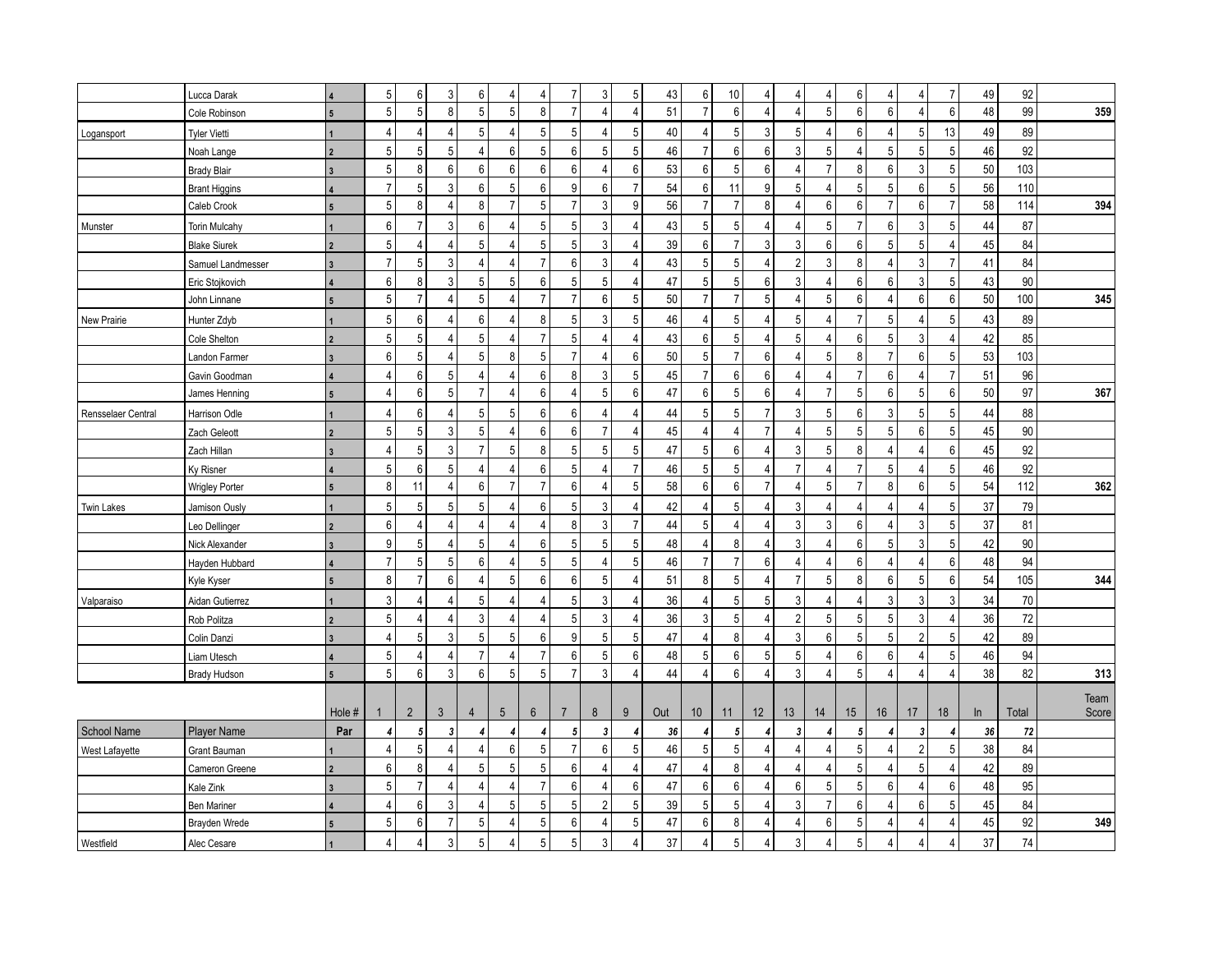|                    | Lucca Darak           |                          | 5 <sup>1</sup>  | 6              | 3              | 6                | 4                     | $\overline{4}$ | $\overline{7}$ | 3              | $\sqrt{5}$       | 43  | 6                | 10             | $\overline{4}$ | 4              | 4              | 6                | 4              | $\overline{4}$            | $\overline{7}$   | 49 | 92     |       |
|--------------------|-----------------------|--------------------------|-----------------|----------------|----------------|------------------|-----------------------|----------------|----------------|----------------|------------------|-----|------------------|----------------|----------------|----------------|----------------|------------------|----------------|---------------------------|------------------|----|--------|-------|
|                    | Cole Robinson         | $\overline{5}$           | $\sqrt{5}$      | $\overline{5}$ | 8              | $\overline{5}$   | 5                     | 8              | $\overline{7}$ | 4              | $\overline{4}$   | 51  | $\overline{7}$   | 6              | $\overline{4}$ | 4              | 5              | $\boldsymbol{6}$ | $6\phantom{1}$ | $\overline{4}$            | $6 \overline{6}$ | 48 | 99     | 359   |
| Logansport         | <b>Tyler Vietti</b>   |                          | $\overline{4}$  | $\overline{4}$ | 4              | 5                | $\overline{4}$        | 5              | 5              |                | $\mathbf 5$      | 40  | $\overline{4}$   | 5              | 3              | 5              | 4              | 6                | $\overline{4}$ | 5                         | 13               | 49 | 89     |       |
|                    | Noah Lange            |                          | $\sqrt{5}$      | 5              | 5              | $\overline{4}$   | 6                     | 5              | 6              | 5 <sup>1</sup> | $\overline{5}$   | 46  | $\overline{7}$   | 6              | 6              | 3              | 5              | $\overline{4}$   | 5              | 5                         | 5                | 46 | 92     |       |
|                    | <b>Brady Blair</b>    | $\mathbf{3}$             | 5               | 8              | 6              | 6                | 6                     | 6              | 6              | 4              | 6                | 53  | $\,6\,$          | 5              | 6              | 4              | $\overline{7}$ | 8                | 6              | 3                         | 5 <sup>1</sup>   | 50 | 103    |       |
|                    | <b>Brant Higgins</b>  |                          | $\overline{7}$  | 5              | 3              | 6                | 5                     | 6              | 9              | 6              | $\overline{7}$   | 54  | $\boldsymbol{6}$ | 11             | 9              | 5              | 4              | $5\,$            | 5              | $6\phantom{1}6$           | 5 <sup>1</sup>   | 56 | 110    |       |
|                    | Caleb Crook           | $5\overline{5}$          | $5\phantom{.0}$ | 8              | $\overline{4}$ | 8                | $\overline{7}$        | 5              | $\overline{7}$ | 3              | 9                | 56  | $\overline{7}$   | $\overline{7}$ | 8              | 4              | 6              | $\boldsymbol{6}$ | $\overline{7}$ | 6                         | $\overline{7}$   | 58 | 114    | 394   |
| Munster            | <b>Torin Mulcahy</b>  |                          | $6\phantom{1}$  | $\overline{7}$ | 3              | 6                | $\overline{4}$        | 5              | 5              | $\mathbf{3}$   | $\overline{4}$   | 43  | $5\phantom{.0}$  | 5              | $\overline{4}$ | 4              | 5              | $\overline{7}$   | $6\phantom{1}$ | 3                         | 5 <sup>1</sup>   | 44 | 87     |       |
|                    | <b>Blake Siurek</b>   | $\overline{2}$           | 5               | $\overline{4}$ | $\Delta$       | 5                | $\overline{4}$        | 5              | 5              | 3              | $\overline{4}$   | 39  | $\boldsymbol{6}$ | $\overline{7}$ | $\mathsf{3}$   | 3              | 6              | $\boldsymbol{6}$ | $\sqrt{5}$     | 5                         | $\overline{4}$   | 45 | 84     |       |
|                    | Samuel Landmesser     | $\overline{3}$           | $\overline{7}$  | 5              | 3              | $\overline{4}$   | $\overline{4}$        | $\overline{7}$ | 6              | 3              | $\overline{4}$   | 43  | $5\phantom{.0}$  | 5              | $\overline{4}$ | $\overline{2}$ | 3              | 8                | 4              | 3                         | $\overline{7}$   | 41 | 84     |       |
|                    | Eric Stojkovich       |                          | $6\phantom{1}6$ | 8              | 3              | $\,$ 5 $\,$      | 5                     | 6              | 5              | 5              | $\overline{4}$   | 47  | 5                | 5              | 6              | 3              | 4              | 6                | 6              | 3                         | 5 <sup>1</sup>   | 43 | 90     |       |
|                    | John Linnane          | $5\phantom{.0}$          | $\sqrt{5}$      | $\overline{7}$ | $\Delta$       | $\,$ 5 $\,$      | $\overline{4}$        | $\overline{7}$ | $\overline{7}$ | 6              | $\mathbf 5$      | 50  | $\overline{7}$   | $\overline{7}$ | 5              | 4              | 5              | $\,6\,$          | 4              | $6\phantom{1}6$           | $6 \overline{6}$ | 50 | 100    | 345   |
| New Prairie        | Hunter Zdyb           |                          | 5               | $6\phantom{1}$ | 4              | 6                | $\overline{4}$        | 8              | 5              | 3              | $\mathbf 5$      | 46  | $\overline{4}$   | 5              | $\overline{4}$ | 5              | 4              | $\overline{7}$   | 5              | $\overline{4}$            | 5 <sup>1</sup>   | 43 | 89     |       |
|                    | Cole Shelton          |                          | 5               | 5              | 4              | 5                | $\boldsymbol{\Delta}$ | $\overline{7}$ | 5              |                | $\overline{4}$   | 43  | $\boldsymbol{6}$ | 5              | $\overline{4}$ | 5              | 4              | $\,6\,$          | $\sqrt{5}$     | 3                         | $\overline{4}$   | 42 | 85     |       |
|                    | Landon Farmer         |                          | 6               | 5              | 4              | 5                | 8                     | 5              | $\overline{7}$ | 4              | $\boldsymbol{6}$ | 50  | $\sqrt{5}$       | $\overline{7}$ | 6              | 4              | 5              | 8                | $\overline{7}$ | $6\phantom{1}6$           | 5                | 53 | 103    |       |
|                    | Gavin Goodman         |                          | 4               | 6              | 5              | 4                | 4                     | 6              | 8              | 3              | 5                | 45  | $\overline{7}$   | 6              | 6              | 4              | 4              | $\overline{7}$   | 6              | $\overline{4}$            | $\overline{7}$   | 51 | 96     |       |
|                    | James Henning         | 5                        | $\overline{4}$  | 6              | 5              | $\overline{7}$   | $\overline{4}$        | 6              | $\overline{4}$ | 5              | $\boldsymbol{6}$ | 47  | $6\phantom{a}$   | $\overline{5}$ | 6              | 4              | $\overline{7}$ | $5\,$            | 6              | 5                         | $6 \overline{6}$ | 50 | 97     | 367   |
| Rensselaer Central | Harrison Odle         |                          | $\overline{4}$  | 6              | 4              | 5                | 5                     | 6              | 6              |                | $\overline{4}$   | 44  | 5                | 5              | $\overline{7}$ | 3              | 5              | 6                | 3              | 5                         | 5 <sup>1</sup>   | 44 | 88     |       |
|                    | Zach Geleott          | $\overline{\phantom{a}}$ | 5               | 5              | 3              | 5                | $\overline{4}$        | 6              | 6              | $\overline{7}$ | $\overline{4}$   | 45  | $\overline{4}$   | $\overline{4}$ | $\overline{7}$ | 4              | 5              | 5                | 5              | 6                         | 5 <sup>1</sup>   | 45 | 90     |       |
|                    | Zach Hillan           |                          | $\overline{4}$  | 5              | 3              | $\overline{7}$   | 5                     | 8              | 5              | 5              | $\overline{5}$   | 47  | $\overline{5}$   | 6              | $\overline{4}$ | 3              | 5              | 8                | $\overline{4}$ | $\overline{4}$            | 6                | 45 | 92     |       |
|                    | Ky Risner             |                          | 5               | $6\phantom{1}$ | 5              | 4                | 4                     | 6              | 5              | 4              | $\overline{7}$   | 46  | $\sqrt{5}$       | 5              | $\overline{4}$ | $\overline{7}$ | 4              | $\overline{7}$   | 5              | $\overline{4}$            | 5 <sup>1</sup>   | 46 | 92     |       |
|                    | <b>Wrigley Porter</b> |                          | 8               | 11             | 4              | 6                | $\overline{7}$        | $\overline{7}$ | 6              |                | $\overline{5}$   | 58  | $\boldsymbol{6}$ | 6              | $\overline{7}$ | 4              | 5              | $\overline{7}$   | 8              | 6                         | 5 <sup>1</sup>   | 54 | 112    | 362   |
| <b>Twin Lakes</b>  | Jamison Ously         |                          | 5               | 5              | 5              | 5                | $\overline{4}$        | 6              | 5              | 3              | $\overline{4}$   | 42  | $\overline{4}$   | 5              | $\overline{4}$ | 3              | 4              | $\overline{4}$   | 4              | $\overline{4}$            | 5                | 37 | 79     |       |
|                    | Leo Dellinger         | $\overline{\phantom{a}}$ | 6               | $\overline{4}$ | 4              | 4                | 4                     | $\overline{4}$ | 8              | 3              | $\overline{7}$   | 44  | 5                | $\overline{4}$ | $\overline{4}$ | 3              | 3              | 6                | 4              | 3                         | 5 <sup>1</sup>   | 37 | 81     |       |
|                    | Nick Alexander        |                          | 9               | 5              | 4              | 5                | $\boldsymbol{\Delta}$ | 6              | 5              | 5              | $\overline{5}$   | 48  | $\overline{4}$   | 8              | $\overline{4}$ | 3              | 4              | $\boldsymbol{6}$ | 5              | 3                         | 5 <sup>1</sup>   | 42 | 90     |       |
|                    | Hayden Hubbard        |                          | $\overline{7}$  | 5              | 5              | 6                | 4                     | 5              | 5              | 4              | $\overline{5}$   | 46  | $\overline{7}$   | $\overline{7}$ | 6              | 4              | 4              | 6                | 4              | $\overline{4}$            | $6 \overline{6}$ | 48 | 94     |       |
|                    | Kyle Kyser            | $5\phantom{.0}$          | 8               | $\overline{7}$ | 6              | 4                | 5                     | 6              | 6              | 5 <sup>1</sup> | $\overline{4}$   | 51  | 8                | 5              | $\overline{4}$ | $\overline{7}$ | 5              | 8                | 6              | 5                         | $6 \overline{6}$ | 54 | 105    | 344   |
| Valparaiso         | Aidan Gutierrez       |                          | 3               | $\Delta$       | 4              | 5                | $\boldsymbol{\Delta}$ | 4              | 5              | 3              | $\overline{4}$   | 36  | $\overline{4}$   | 5              | 5              | 3              | 4              | $\overline{4}$   | 3              | 3                         | $\overline{3}$   | 34 | 70     |       |
|                    | Rob Politza           | $\overline{\mathbf{z}}$  | 5               | $\overline{4}$ | 4              | 3                | 4                     | 4              | 5              | 3              | $\overline{4}$   | 36  | $\sqrt{3}$       | 5 <sup>1</sup> | $\overline{4}$ | $\overline{2}$ | 5              | $\sqrt{5}$       | 5              | 3                         | $\overline{4}$   | 36 | $72\,$ |       |
|                    | Colin Danzi           |                          | $\Delta$        | 5              | 3              | 5                | 5                     | 6              | 9              | 5              | 5                | 47  | $\overline{4}$   | 8              | $\overline{4}$ | 3              | 6              | 5                | 5              | $\overline{2}$            | 5 <sup>1</sup>   | 42 | 89     |       |
|                    | Liam Utesch           |                          | 5               | $\overline{4}$ | 4              | $\overline{7}$   | $\overline{4}$        | $\overline{7}$ | 6              | 5 <sup>1</sup> | $6\phantom{1}$   | 48  | $\sqrt{5}$       | 6              | $\sqrt{5}$     | 5              | 4              | 6                | 6              | $\overline{4}$            | 5 <sup>1</sup>   | 46 | 94     |       |
|                    | <b>Brady Hudson</b>   |                          | $\overline{5}$  | 6              | 3              | 6                | 5                     | 5              | $\overline{7}$ | 3              | $\overline{4}$   | 44  | $\overline{4}$   | 6              | $\overline{4}$ | 3              | 4              | 5                | $\overline{4}$ | $\overline{4}$            | 4                | 38 | 82     | 313   |
|                    |                       |                          |                 |                |                |                  |                       |                |                |                |                  |     |                  |                |                |                |                |                  |                |                           |                  |    |        | Team  |
|                    |                       | Hole #                   |                 | $\overline{2}$ | $\mathbf{3}$   | $\overline{4}$   | 5                     | $6\phantom{1}$ | $\overline{7}$ | 8              | 9                | Out | 10 <sup>°</sup>  | 11             | 12             | 13             | 14             | 15               | 16             | 17                        | 18               | ln | Total  | Score |
| School Name        | <b>Player Name</b>    | Par                      | 4               | 5              | 3              | $\boldsymbol{4}$ | 4                     | 4              | 5              | 3              | $\boldsymbol{4}$ | 36  | 4                | 5 <sup>1</sup> | 4              | 3              | 4              | 5                | 4              | $\boldsymbol{\mathsf{3}}$ | 4                | 36 | 72     |       |
| West Lafayette     | Grant Bauman          |                          | $\overline{4}$  | 5              | $\Delta$       | 4                | 6                     | 5              | $\overline{7}$ | 6 <sup>1</sup> | $\overline{5}$   | 46  | $\sqrt{5}$       | $\overline{5}$ | $\overline{4}$ | 4              | $\overline{4}$ | $\sqrt{5}$       | $\overline{4}$ | $\overline{2}$            | 5                | 38 | 84     |       |
|                    | Cameron Greene        | $\overline{2}$           | 6               | 8              | 4              | 5                | 5                     | 5              | 6              | 4              | $\overline{4}$   | 47  | $\overline{4}$   | 8              | $\overline{4}$ | 4              | 4              | $5\phantom{.0}$  | 4              | 5                         | $\overline{4}$   | 42 | 89     |       |
|                    | Kale Zink             | $\mathbf{3}$             | $5\phantom{.0}$ | $\overline{7}$ | Δ              | 4                | 4                     | $\overline{7}$ | 6              |                | $\boldsymbol{6}$ | 47  | 6                | 6              | $\overline{4}$ | 6              | 5              | 5                | 6              | $\overline{4}$            | 6                | 48 | 95     |       |
|                    | <b>Ben Mariner</b>    |                          | $\overline{4}$  | 6              | 3              | 4                | 5                     | 5              | 5              | 2              | $\overline{5}$   | 39  | 5                | 5 <sup>1</sup> | $\overline{4}$ | 3              | $\overline{7}$ | 6                | 4              | 6                         | 5 <sup>1</sup>   | 45 | 84     |       |
|                    | Brayden Wrede         | $5\overline{)}$          | $\overline{5}$  | 6              | $\overline{7}$ | $\overline{5}$   | $\overline{4}$        | 5              | 6              |                | $\overline{5}$   | 47  | $6\phantom{a}$   | 8              | $\overline{4}$ | 4              | 6              | $5\phantom{.0}$  | $\overline{4}$ | $\overline{4}$            | 4                | 45 | 92     | 349   |
| Westfield          | Alec Cesare           |                          | 4               | $\Delta$       | 3              | 5                | Δ                     | 5              | 5              | 3              | $\overline{A}$   | 37  | $\overline{4}$   | 5              | $\overline{4}$ | 3              | 4              | 5                | 4              | 4                         | 4                | 37 | 74     |       |